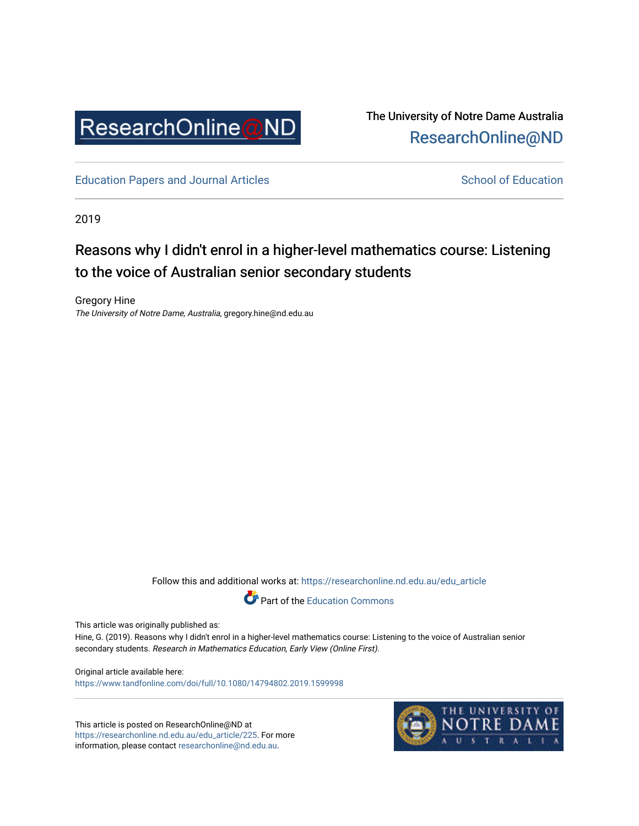

# The University of Notre Dame Australia [ResearchOnline@ND](https://researchonline.nd.edu.au/)

[Education Papers and Journal Articles](https://researchonline.nd.edu.au/edu_article) [School of Education](https://researchonline.nd.edu.au/edu) School of Education

2019

# Reasons why I didn't enrol in a higher-level mathematics course: Listening to the voice of Australian senior secondary students

Gregory Hine The University of Notre Dame, Australia, gregory.hine@nd.edu.au

Follow this and additional works at: [https://researchonline.nd.edu.au/edu\\_article](https://researchonline.nd.edu.au/edu_article?utm_source=researchonline.nd.edu.au%2Fedu_article%2F225&utm_medium=PDF&utm_campaign=PDFCoverPages)



This article was originally published as:

Hine, G. (2019). Reasons why I didn't enrol in a higher-level mathematics course: Listening to the voice of Australian senior secondary students. Research in Mathematics Education, Early View (Online First).

Original article available here: <https://www.tandfonline.com/doi/full/10.1080/14794802.2019.1599998>

This article is posted on ResearchOnline@ND at [https://researchonline.nd.edu.au/edu\\_article/225](https://researchonline.nd.edu.au/edu_article/225). For more information, please contact [researchonline@nd.edu.au.](mailto:researchonline@nd.edu.au)

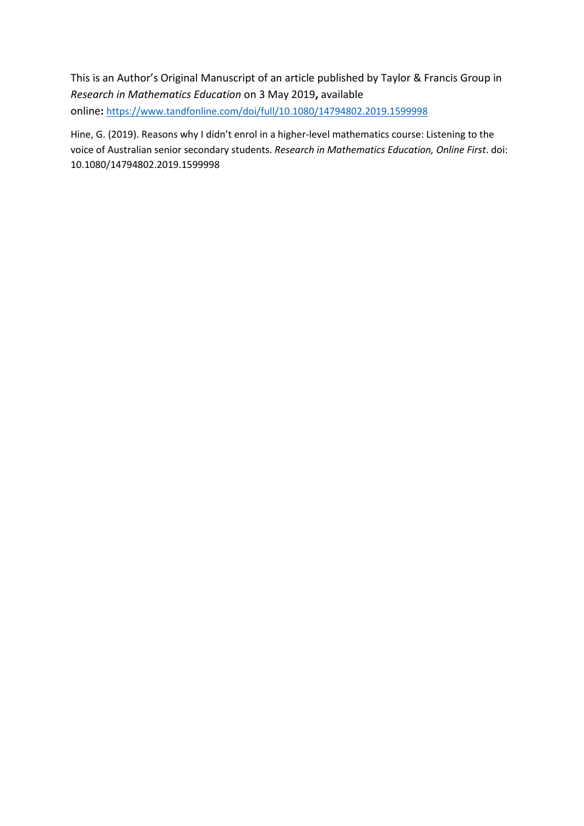This is an Author's Original Manuscript of an article published by Taylor & Francis Group in *Research in Mathematics Education* on 3 May 2019**,** available online**:** <https://www.tandfonline.com/doi/full/10.1080/14794802.2019.1599998>

Hine, G. (2019). Reasons why I didn't enrol in a higher-level mathematics course: Listening to the voice of Australian senior secondary students. *Research in Mathematics Education, Online First*. doi: 10.1080/14794802.2019.1599998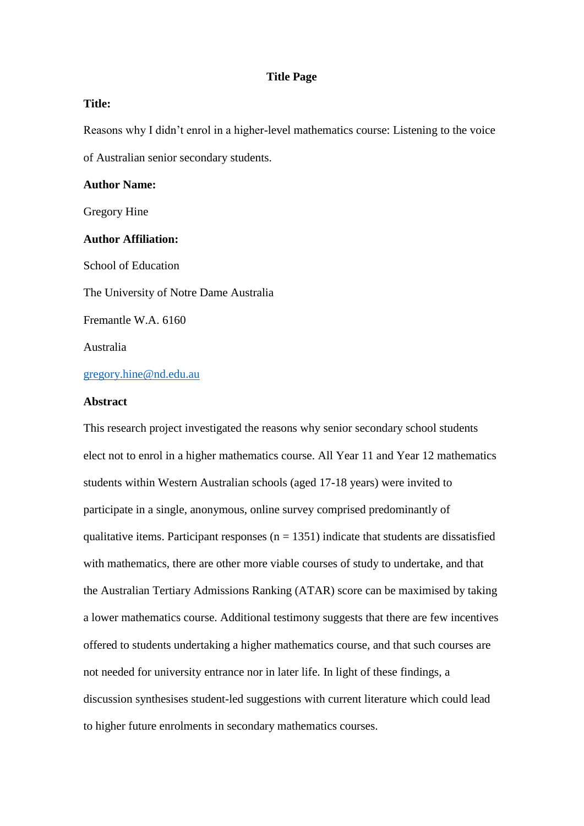# **Title Page**

# **Title:**

Reasons why I didn't enrol in a higher-level mathematics course: Listening to the voice of Australian senior secondary students.

#### **Author Name:**

Gregory Hine

# **Author Affiliation:**

School of Education

The University of Notre Dame Australia

Fremantle W.A. 6160

Australia

# [gregory.hine@nd.edu.au](mailto:gregory.hine@nd.edu.au)

# **Abstract**

This research project investigated the reasons why senior secondary school students elect not to enrol in a higher mathematics course. All Year 11 and Year 12 mathematics students within Western Australian schools (aged 17-18 years) were invited to participate in a single, anonymous, online survey comprised predominantly of qualitative items. Participant responses ( $n = 1351$ ) indicate that students are dissatisfied with mathematics, there are other more viable courses of study to undertake, and that the Australian Tertiary Admissions Ranking (ATAR) score can be maximised by taking a lower mathematics course. Additional testimony suggests that there are few incentives offered to students undertaking a higher mathematics course, and that such courses are not needed for university entrance nor in later life. In light of these findings, a discussion synthesises student-led suggestions with current literature which could lead to higher future enrolments in secondary mathematics courses.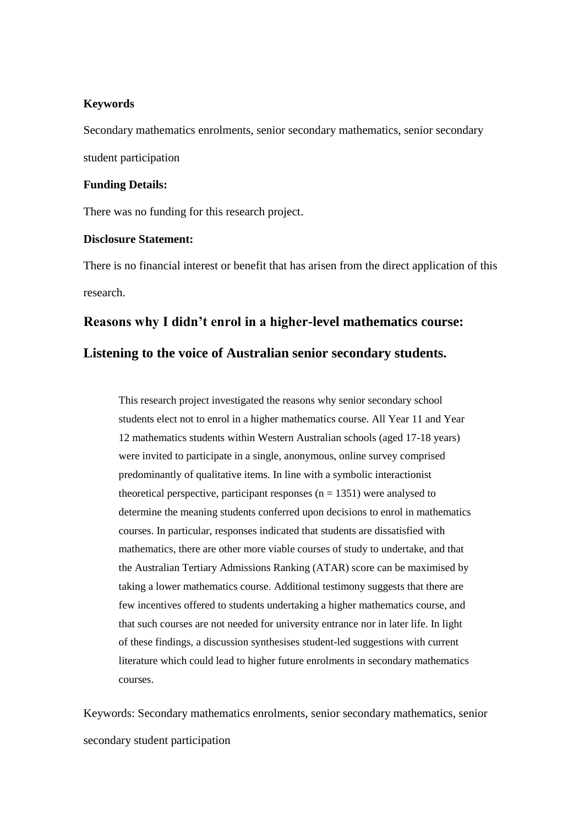#### **Keywords**

Secondary mathematics enrolments, senior secondary mathematics, senior secondary student participation

#### **Funding Details:**

There was no funding for this research project.

#### **Disclosure Statement:**

There is no financial interest or benefit that has arisen from the direct application of this research.

# **Reasons why I didn't enrol in a higher-level mathematics course:**

# **Listening to the voice of Australian senior secondary students.**

This research project investigated the reasons why senior secondary school students elect not to enrol in a higher mathematics course. All Year 11 and Year 12 mathematics students within Western Australian schools (aged 17-18 years) were invited to participate in a single, anonymous, online survey comprised predominantly of qualitative items. In line with a symbolic interactionist theoretical perspective, participant responses  $(n = 1351)$  were analysed to determine the meaning students conferred upon decisions to enrol in mathematics courses. In particular, responses indicated that students are dissatisfied with mathematics, there are other more viable courses of study to undertake, and that the Australian Tertiary Admissions Ranking (ATAR) score can be maximised by taking a lower mathematics course. Additional testimony suggests that there are few incentives offered to students undertaking a higher mathematics course, and that such courses are not needed for university entrance nor in later life. In light of these findings, a discussion synthesises student-led suggestions with current literature which could lead to higher future enrolments in secondary mathematics courses.

Keywords: Secondary mathematics enrolments, senior secondary mathematics, senior secondary student participation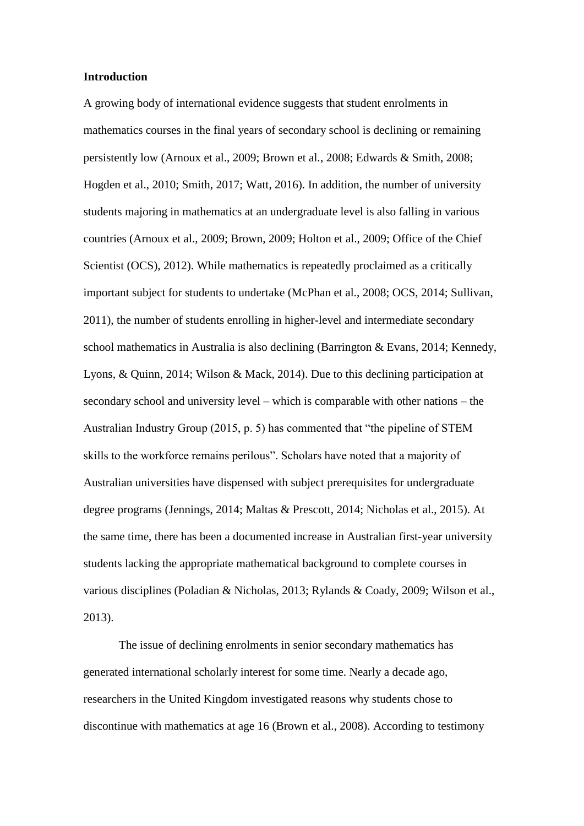#### **Introduction**

A growing body of international evidence suggests that student enrolments in mathematics courses in the final years of secondary school is declining or remaining persistently low (Arnoux et al., 2009; Brown et al., 2008; Edwards & Smith, 2008; Hogden et al., 2010; Smith, 2017; Watt, 2016). In addition, the number of university students majoring in mathematics at an undergraduate level is also falling in various countries (Arnoux et al., 2009; Brown, 2009; Holton et al., 2009; Office of the Chief Scientist (OCS), 2012). While mathematics is repeatedly proclaimed as a critically important subject for students to undertake (McPhan et al., 2008; OCS, 2014; Sullivan, 2011), the number of students enrolling in higher-level and intermediate secondary school mathematics in Australia is also declining (Barrington & Evans, 2014; Kennedy, Lyons, & Quinn, 2014; Wilson & Mack, 2014). Due to this declining participation at secondary school and university level – which is comparable with other nations – the Australian Industry Group (2015, p. 5) has commented that "the pipeline of STEM skills to the workforce remains perilous". Scholars have noted that a majority of Australian universities have dispensed with subject prerequisites for undergraduate degree programs (Jennings, 2014; Maltas & Prescott, 2014; Nicholas et al., 2015). At the same time, there has been a documented increase in Australian first-year university students lacking the appropriate mathematical background to complete courses in various disciplines (Poladian & Nicholas, 2013; Rylands & Coady, 2009; Wilson et al., 2013).

The issue of declining enrolments in senior secondary mathematics has generated international scholarly interest for some time. Nearly a decade ago, researchers in the United Kingdom investigated reasons why students chose to discontinue with mathematics at age 16 (Brown et al., 2008). According to testimony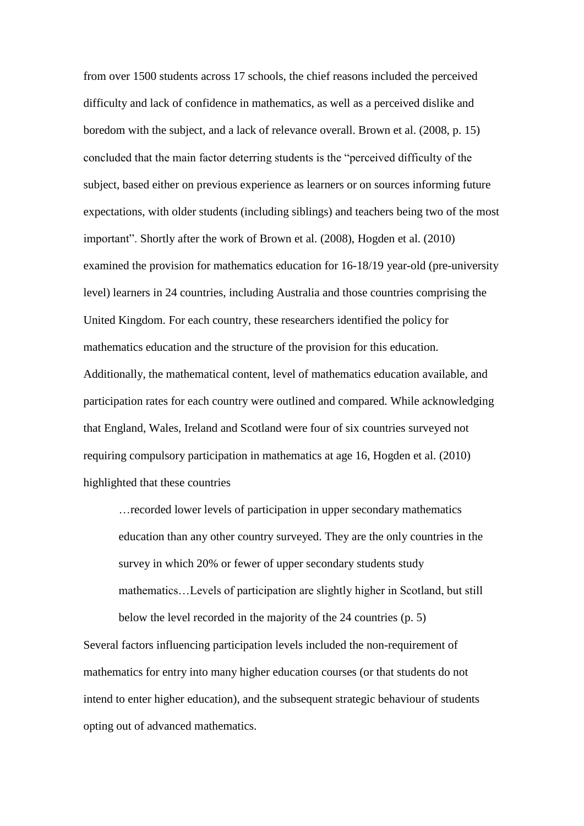from over 1500 students across 17 schools, the chief reasons included the perceived difficulty and lack of confidence in mathematics, as well as a perceived dislike and boredom with the subject, and a lack of relevance overall. Brown et al. (2008, p. 15) concluded that the main factor deterring students is the "perceived difficulty of the subject, based either on previous experience as learners or on sources informing future expectations, with older students (including siblings) and teachers being two of the most important". Shortly after the work of Brown et al. (2008), Hogden et al. (2010) examined the provision for mathematics education for 16-18/19 year-old (pre-university level) learners in 24 countries, including Australia and those countries comprising the United Kingdom. For each country, these researchers identified the policy for mathematics education and the structure of the provision for this education. Additionally, the mathematical content, level of mathematics education available, and participation rates for each country were outlined and compared. While acknowledging that England, Wales, Ireland and Scotland were four of six countries surveyed not requiring compulsory participation in mathematics at age 16, Hogden et al. (2010) highlighted that these countries

…recorded lower levels of participation in upper secondary mathematics education than any other country surveyed. They are the only countries in the survey in which 20% or fewer of upper secondary students study mathematics…Levels of participation are slightly higher in Scotland, but still below the level recorded in the majority of the 24 countries (p. 5)

Several factors influencing participation levels included the non-requirement of mathematics for entry into many higher education courses (or that students do not intend to enter higher education), and the subsequent strategic behaviour of students opting out of advanced mathematics.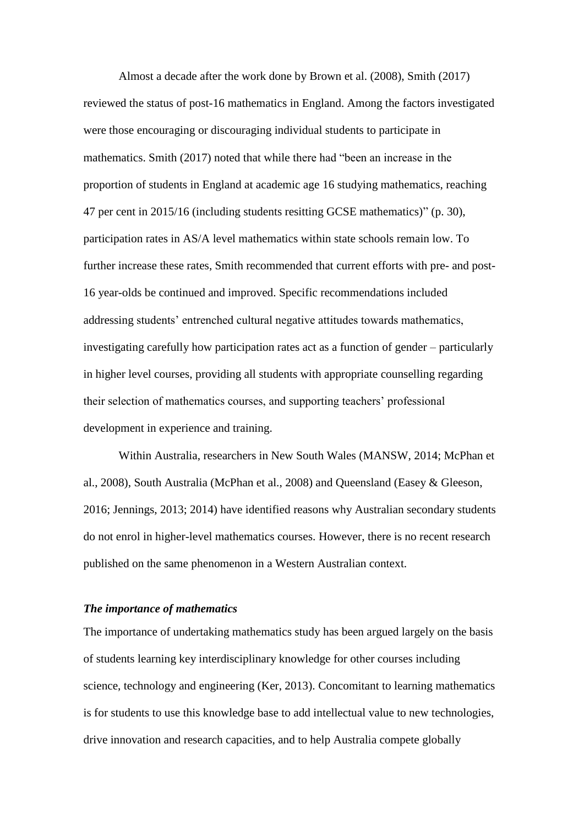Almost a decade after the work done by Brown et al. (2008), Smith (2017) reviewed the status of post-16 mathematics in England. Among the factors investigated were those encouraging or discouraging individual students to participate in mathematics. Smith (2017) noted that while there had "been an increase in the proportion of students in England at academic age 16 studying mathematics, reaching 47 per cent in 2015/16 (including students resitting GCSE mathematics)" (p. 30), participation rates in AS/A level mathematics within state schools remain low. To further increase these rates, Smith recommended that current efforts with pre- and post-16 year-olds be continued and improved. Specific recommendations included addressing students' entrenched cultural negative attitudes towards mathematics, investigating carefully how participation rates act as a function of gender – particularly in higher level courses, providing all students with appropriate counselling regarding their selection of mathematics courses, and supporting teachers' professional development in experience and training.

Within Australia, researchers in New South Wales (MANSW, 2014; McPhan et al., 2008), South Australia (McPhan et al., 2008) and Queensland (Easey & Gleeson, 2016; Jennings, 2013; 2014) have identified reasons why Australian secondary students do not enrol in higher-level mathematics courses. However, there is no recent research published on the same phenomenon in a Western Australian context.

#### *The importance of mathematics*

The importance of undertaking mathematics study has been argued largely on the basis of students learning key interdisciplinary knowledge for other courses including science, technology and engineering (Ker, 2013). Concomitant to learning mathematics is for students to use this knowledge base to add intellectual value to new technologies, drive innovation and research capacities, and to help Australia compete globally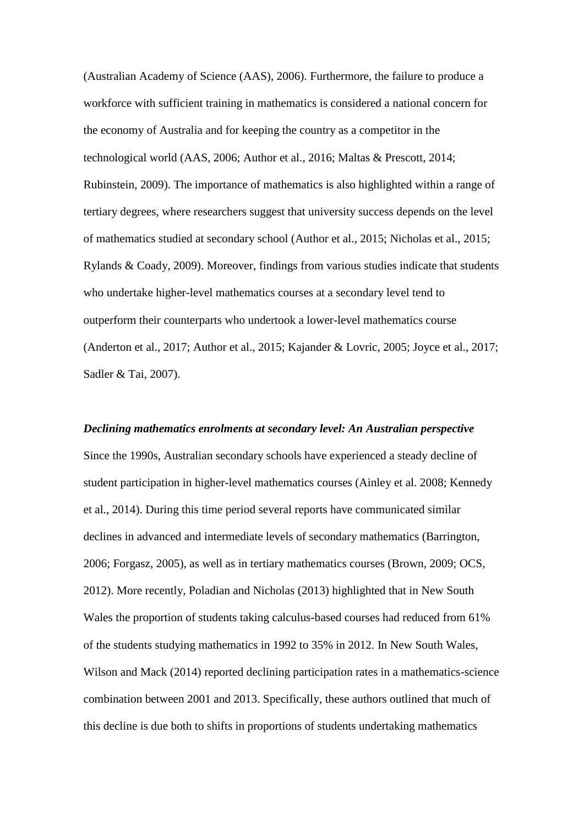(Australian Academy of Science (AAS), 2006). Furthermore, the failure to produce a workforce with sufficient training in mathematics is considered a national concern for the economy of Australia and for keeping the country as a competitor in the technological world (AAS, 2006; Author et al., 2016; Maltas & Prescott, 2014; Rubinstein, 2009). The importance of mathematics is also highlighted within a range of tertiary degrees, where researchers suggest that university success depends on the level of mathematics studied at secondary school (Author et al., 2015; Nicholas et al., 2015; Rylands & Coady, 2009). Moreover, findings from various studies indicate that students who undertake higher-level mathematics courses at a secondary level tend to outperform their counterparts who undertook a lower-level mathematics course (Anderton et al., 2017; Author et al., 2015; Kajander & Lovric, 2005; Joyce et al., 2017; Sadler & Tai, 2007).

#### *Declining mathematics enrolments at secondary level: An Australian perspective*

Since the 1990s, Australian secondary schools have experienced a steady decline of student participation in higher-level mathematics courses (Ainley et al. 2008; Kennedy et al., 2014). During this time period several reports have communicated similar declines in advanced and intermediate levels of secondary mathematics (Barrington, 2006; Forgasz, 2005), as well as in tertiary mathematics courses (Brown, 2009; OCS, 2012). More recently, Poladian and Nicholas (2013) highlighted that in New South Wales the proportion of students taking calculus-based courses had reduced from 61% of the students studying mathematics in 1992 to 35% in 2012. In New South Wales, Wilson and Mack (2014) reported declining participation rates in a mathematics-science combination between 2001 and 2013. Specifically, these authors outlined that much of this decline is due both to shifts in proportions of students undertaking mathematics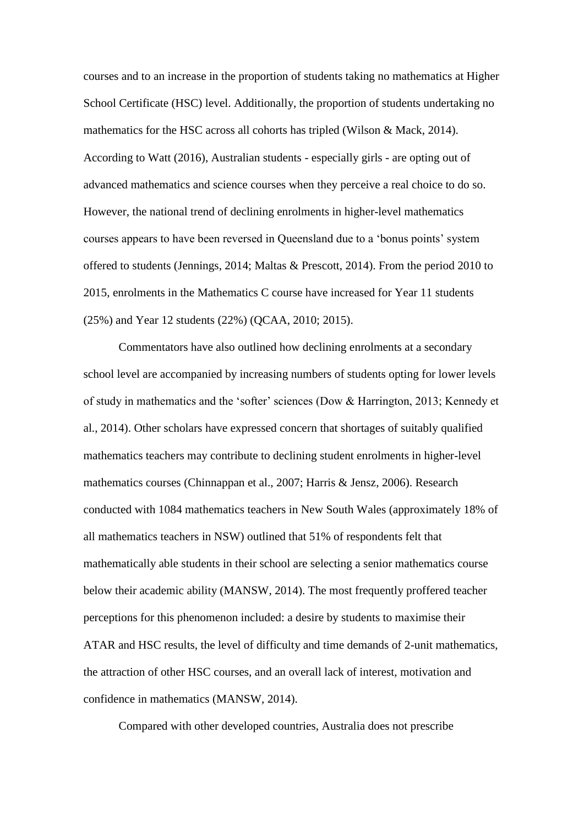courses and to an increase in the proportion of students taking no mathematics at Higher School Certificate (HSC) level. Additionally, the proportion of students undertaking no mathematics for the HSC across all cohorts has tripled (Wilson & Mack, 2014). According to Watt (2016), Australian students - especially girls - are opting out of advanced mathematics and science courses when they perceive a real choice to do so. However, the national trend of declining enrolments in higher-level mathematics courses appears to have been reversed in Queensland due to a 'bonus points' system offered to students (Jennings, 2014; Maltas & Prescott, 2014). From the period 2010 to 2015, enrolments in the Mathematics C course have increased for Year 11 students (25%) and Year 12 students (22%) (QCAA, 2010; 2015).

Commentators have also outlined how declining enrolments at a secondary school level are accompanied by increasing numbers of students opting for lower levels of study in mathematics and the 'softer' sciences (Dow & Harrington, 2013; Kennedy et al., 2014). Other scholars have expressed concern that shortages of suitably qualified mathematics teachers may contribute to declining student enrolments in higher-level mathematics courses (Chinnappan et al., 2007; Harris & Jensz, 2006). Research conducted with 1084 mathematics teachers in New South Wales (approximately 18% of all mathematics teachers in NSW) outlined that 51% of respondents felt that mathematically able students in their school are selecting a senior mathematics course below their academic ability (MANSW, 2014). The most frequently proffered teacher perceptions for this phenomenon included: a desire by students to maximise their ATAR and HSC results, the level of difficulty and time demands of 2-unit mathematics, the attraction of other HSC courses, and an overall lack of interest, motivation and confidence in mathematics (MANSW, 2014).

Compared with other developed countries, Australia does not prescribe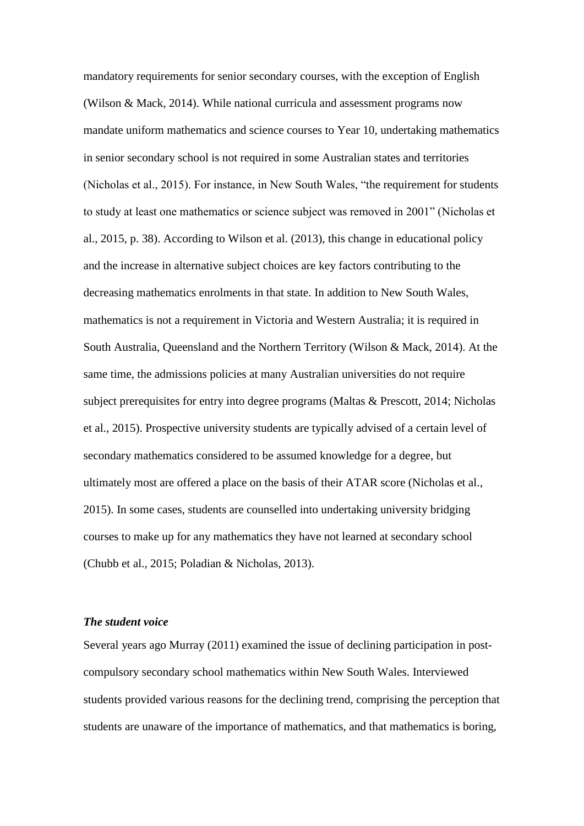mandatory requirements for senior secondary courses, with the exception of English (Wilson & Mack, 2014). While national curricula and assessment programs now mandate uniform mathematics and science courses to Year 10, undertaking mathematics in senior secondary school is not required in some Australian states and territories (Nicholas et al., 2015). For instance, in New South Wales, "the requirement for students to study at least one mathematics or science subject was removed in 2001" (Nicholas et al., 2015, p. 38). According to Wilson et al. (2013), this change in educational policy and the increase in alternative subject choices are key factors contributing to the decreasing mathematics enrolments in that state. In addition to New South Wales, mathematics is not a requirement in Victoria and Western Australia; it is required in South Australia, Queensland and the Northern Territory (Wilson & Mack, 2014). At the same time, the admissions policies at many Australian universities do not require subject prerequisites for entry into degree programs (Maltas & Prescott, 2014; Nicholas et al., 2015). Prospective university students are typically advised of a certain level of secondary mathematics considered to be assumed knowledge for a degree, but ultimately most are offered a place on the basis of their ATAR score (Nicholas et al., 2015). In some cases, students are counselled into undertaking university bridging courses to make up for any mathematics they have not learned at secondary school (Chubb et al., 2015; Poladian & Nicholas, 2013).

# *The student voice*

Several years ago Murray (2011) examined the issue of declining participation in postcompulsory secondary school mathematics within New South Wales. Interviewed students provided various reasons for the declining trend, comprising the perception that students are unaware of the importance of mathematics, and that mathematics is boring,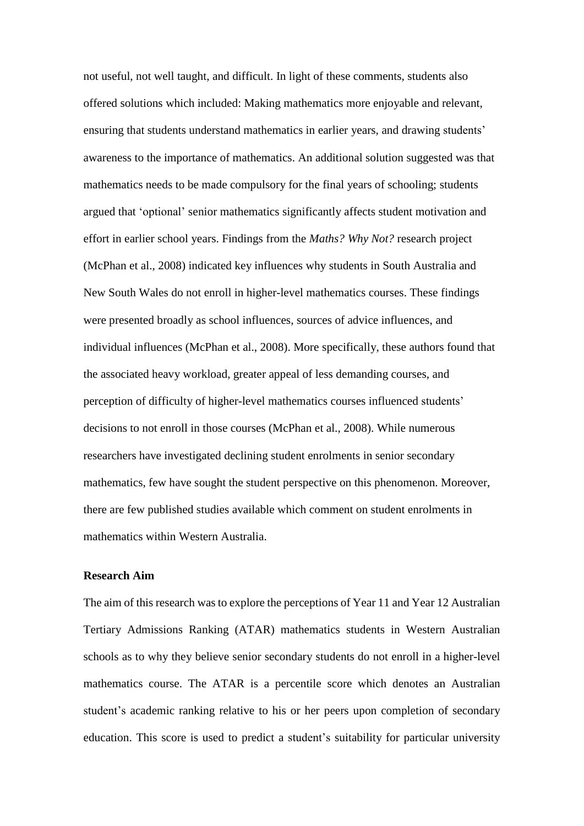not useful, not well taught, and difficult. In light of these comments, students also offered solutions which included: Making mathematics more enjoyable and relevant, ensuring that students understand mathematics in earlier years, and drawing students' awareness to the importance of mathematics. An additional solution suggested was that mathematics needs to be made compulsory for the final years of schooling; students argued that 'optional' senior mathematics significantly affects student motivation and effort in earlier school years. Findings from the *Maths? Why Not?* research project (McPhan et al., 2008) indicated key influences why students in South Australia and New South Wales do not enroll in higher-level mathematics courses. These findings were presented broadly as school influences, sources of advice influences, and individual influences (McPhan et al., 2008). More specifically, these authors found that the associated heavy workload, greater appeal of less demanding courses, and perception of difficulty of higher-level mathematics courses influenced students' decisions to not enroll in those courses (McPhan et al., 2008). While numerous researchers have investigated declining student enrolments in senior secondary mathematics, few have sought the student perspective on this phenomenon. Moreover, there are few published studies available which comment on student enrolments in mathematics within Western Australia.

#### **Research Aim**

The aim of this research was to explore the perceptions of Year 11 and Year 12 Australian Tertiary Admissions Ranking (ATAR) mathematics students in Western Australian schools as to why they believe senior secondary students do not enroll in a higher-level mathematics course. The ATAR is a percentile score which denotes an Australian student's academic ranking relative to his or her peers upon completion of secondary education. This score is used to predict a student's suitability for particular university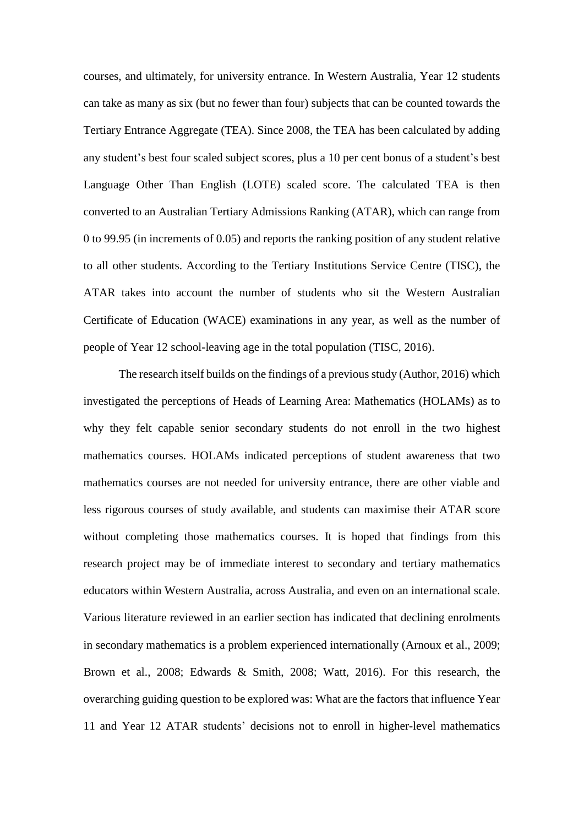courses, and ultimately, for university entrance. In Western Australia, Year 12 students can take as many as six (but no fewer than four) subjects that can be counted towards the Tertiary Entrance Aggregate (TEA). Since 2008, the TEA has been calculated by adding any student's best four scaled subject scores, plus a 10 per cent bonus of a student's best Language Other Than English (LOTE) scaled score. The calculated TEA is then converted to an Australian Tertiary Admissions Ranking (ATAR), which can range from 0 to 99.95 (in increments of 0.05) and reports the ranking position of any student relative to all other students. According to the Tertiary Institutions Service Centre (TISC), the ATAR takes into account the number of students who sit the Western Australian Certificate of Education (WACE) examinations in any year, as well as the number of people of Year 12 school-leaving age in the total population (TISC, 2016).

The research itself builds on the findings of a previous study (Author, 2016) which investigated the perceptions of Heads of Learning Area: Mathematics (HOLAMs) as to why they felt capable senior secondary students do not enroll in the two highest mathematics courses. HOLAMs indicated perceptions of student awareness that two mathematics courses are not needed for university entrance, there are other viable and less rigorous courses of study available, and students can maximise their ATAR score without completing those mathematics courses. It is hoped that findings from this research project may be of immediate interest to secondary and tertiary mathematics educators within Western Australia, across Australia, and even on an international scale. Various literature reviewed in an earlier section has indicated that declining enrolments in secondary mathematics is a problem experienced internationally (Arnoux et al., 2009; Brown et al., 2008; Edwards & Smith, 2008; Watt, 2016). For this research, the overarching guiding question to be explored was: What are the factors that influence Year 11 and Year 12 ATAR students' decisions not to enroll in higher-level mathematics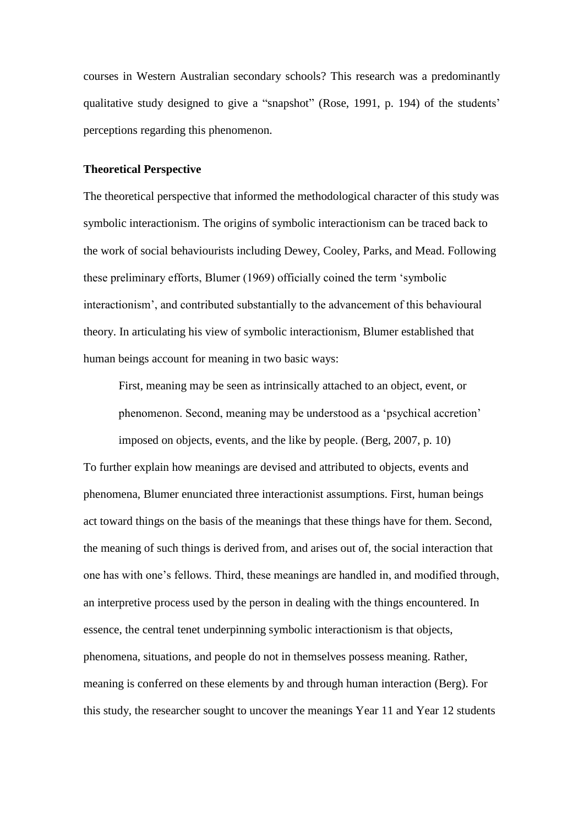courses in Western Australian secondary schools? This research was a predominantly qualitative study designed to give a "snapshot" (Rose, 1991, p. 194) of the students' perceptions regarding this phenomenon.

#### **Theoretical Perspective**

The theoretical perspective that informed the methodological character of this study was symbolic interactionism. The origins of symbolic interactionism can be traced back to the work of social behaviourists including Dewey, Cooley, Parks, and Mead. Following these preliminary efforts, Blumer (1969) officially coined the term 'symbolic interactionism', and contributed substantially to the advancement of this behavioural theory. In articulating his view of symbolic interactionism, Blumer established that human beings account for meaning in two basic ways:

First, meaning may be seen as intrinsically attached to an object, event, or phenomenon. Second, meaning may be understood as a 'psychical accretion' imposed on objects, events, and the like by people. (Berg, 2007, p. 10)

To further explain how meanings are devised and attributed to objects, events and phenomena, Blumer enunciated three interactionist assumptions. First, human beings act toward things on the basis of the meanings that these things have for them. Second, the meaning of such things is derived from, and arises out of, the social interaction that one has with one's fellows. Third, these meanings are handled in, and modified through, an interpretive process used by the person in dealing with the things encountered. In essence, the central tenet underpinning symbolic interactionism is that objects, phenomena, situations, and people do not in themselves possess meaning. Rather, meaning is conferred on these elements by and through human interaction (Berg). For this study, the researcher sought to uncover the meanings Year 11 and Year 12 students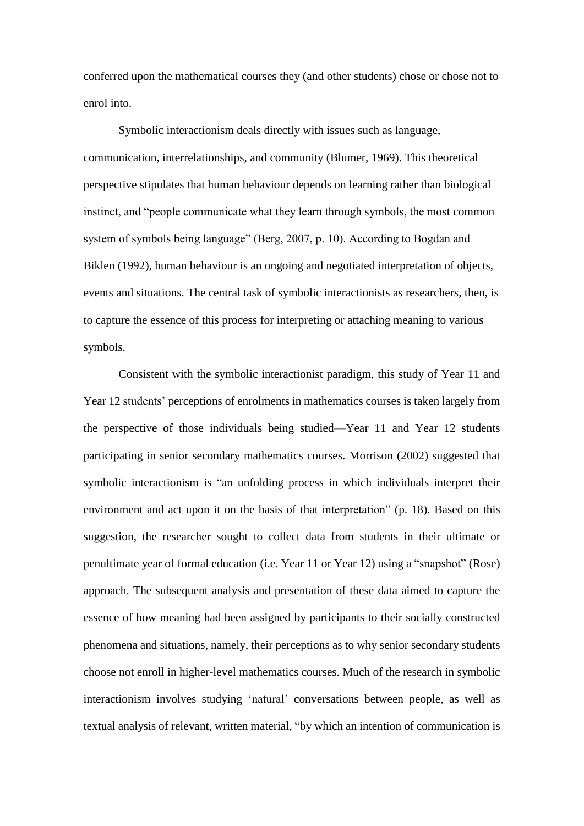conferred upon the mathematical courses they (and other students) chose or chose not to enrol into.

Symbolic interactionism deals directly with issues such as language, communication, interrelationships, and community (Blumer, 1969). This theoretical perspective stipulates that human behaviour depends on learning rather than biological instinct, and "people communicate what they learn through symbols, the most common system of symbols being language" (Berg, 2007, p. 10). According to Bogdan and Biklen (1992), human behaviour is an ongoing and negotiated interpretation of objects, events and situations. The central task of symbolic interactionists as researchers, then, is to capture the essence of this process for interpreting or attaching meaning to various symbols.

Consistent with the symbolic interactionist paradigm, this study of Year 11 and Year 12 students' perceptions of enrolments in mathematics courses is taken largely from the perspective of those individuals being studied—Year 11 and Year 12 students participating in senior secondary mathematics courses. Morrison (2002) suggested that symbolic interactionism is "an unfolding process in which individuals interpret their environment and act upon it on the basis of that interpretation" (p. 18). Based on this suggestion, the researcher sought to collect data from students in their ultimate or penultimate year of formal education (i.e. Year 11 or Year 12) using a "snapshot" (Rose) approach. The subsequent analysis and presentation of these data aimed to capture the essence of how meaning had been assigned by participants to their socially constructed phenomena and situations, namely, their perceptions as to why senior secondary students choose not enroll in higher-level mathematics courses. Much of the research in symbolic interactionism involves studying 'natural' conversations between people, as well as textual analysis of relevant, written material, "by which an intention of communication is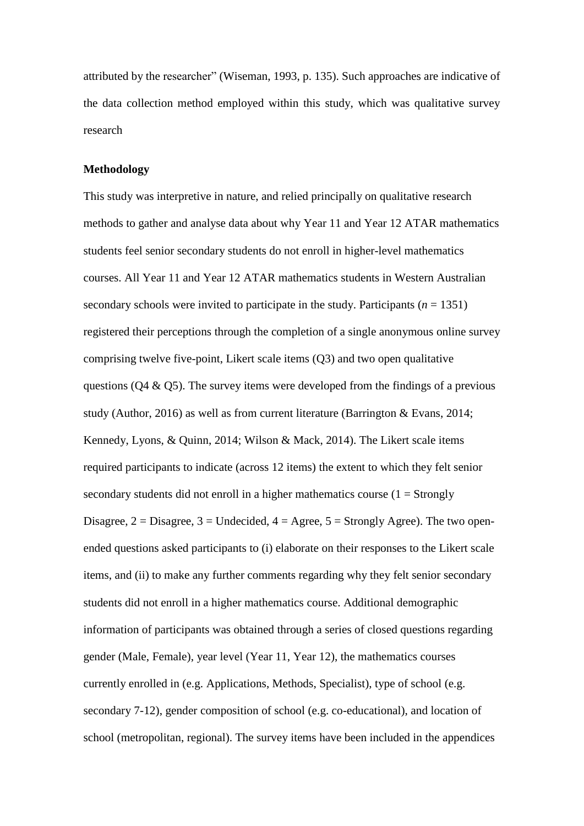attributed by the researcher" (Wiseman, 1993, p. 135). Such approaches are indicative of the data collection method employed within this study, which was qualitative survey research

#### **Methodology**

This study was interpretive in nature, and relied principally on qualitative research methods to gather and analyse data about why Year 11 and Year 12 ATAR mathematics students feel senior secondary students do not enroll in higher-level mathematics courses. All Year 11 and Year 12 ATAR mathematics students in Western Australian secondary schools were invited to participate in the study. Participants  $(n = 1351)$ registered their perceptions through the completion of a single anonymous online survey comprising twelve five-point, Likert scale items (Q3) and two open qualitative questions  $(Q4 \& Q5)$ . The survey items were developed from the findings of a previous study (Author, 2016) as well as from current literature (Barrington & Evans, 2014; Kennedy, Lyons, & Quinn, 2014; Wilson & Mack, 2014). The Likert scale items required participants to indicate (across 12 items) the extent to which they felt senior secondary students did not enroll in a higher mathematics course  $(1 = \text{Strongly})$ Disagree,  $2 = Disagree$ ,  $3 = Undecided$ ,  $4 = Agree$ ,  $5 = Strongly$  Agree). The two openended questions asked participants to (i) elaborate on their responses to the Likert scale items, and (ii) to make any further comments regarding why they felt senior secondary students did not enroll in a higher mathematics course. Additional demographic information of participants was obtained through a series of closed questions regarding gender (Male, Female), year level (Year 11, Year 12), the mathematics courses currently enrolled in (e.g. Applications, Methods, Specialist), type of school (e.g. secondary 7-12), gender composition of school (e.g. co-educational), and location of school (metropolitan, regional). The survey items have been included in the appendices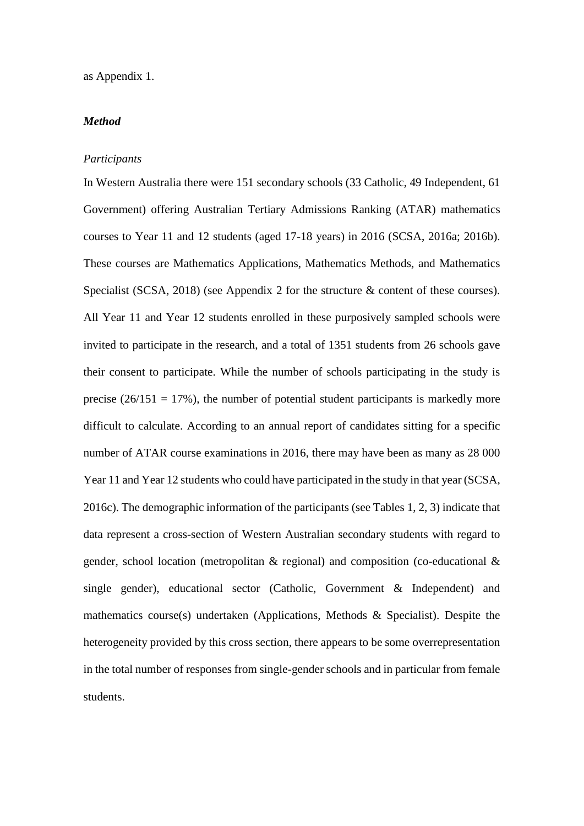as Appendix 1.

# *Method*

#### *Participants*

In Western Australia there were 151 secondary schools (33 Catholic, 49 Independent, 61 Government) offering Australian Tertiary Admissions Ranking (ATAR) mathematics courses to Year 11 and 12 students (aged 17-18 years) in 2016 (SCSA, 2016a; 2016b). These courses are Mathematics Applications, Mathematics Methods, and Mathematics Specialist (SCSA, 2018) (see Appendix 2 for the structure & content of these courses). All Year 11 and Year 12 students enrolled in these purposively sampled schools were invited to participate in the research, and a total of 1351 students from 26 schools gave their consent to participate. While the number of schools participating in the study is precise  $(26/151 = 17%)$ , the number of potential student participants is markedly more difficult to calculate. According to an annual report of candidates sitting for a specific number of ATAR course examinations in 2016, there may have been as many as 28 000 Year 11 and Year 12 students who could have participated in the study in that year (SCSA, 2016c). The demographic information of the participants (see Tables 1, 2, 3) indicate that data represent a cross-section of Western Australian secondary students with regard to gender, school location (metropolitan & regional) and composition (co-educational & single gender), educational sector (Catholic, Government & Independent) and mathematics course(s) undertaken (Applications, Methods & Specialist). Despite the heterogeneity provided by this cross section, there appears to be some overrepresentation in the total number of responses from single-gender schools and in particular from female students.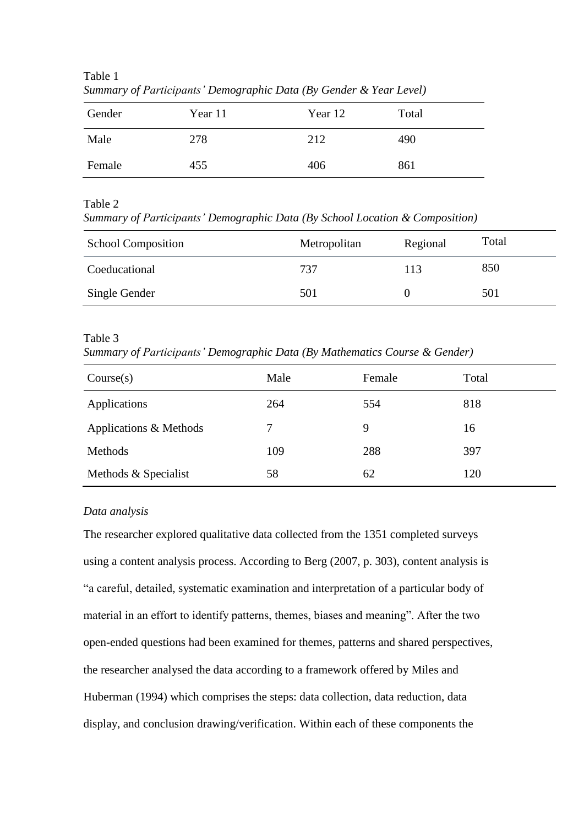| . .    | $\sim$ $\sim$ |         |       |
|--------|---------------|---------|-------|
| Gender | Year 11       | Year 12 | Total |
| Male   | 278           | 212     | 490   |
| Female | 455           | 406     | 861   |

Table 1 *Summary of Participants' Demographic Data (By Gender & Year Level)*

Table 2

*Summary of Participants' Demographic Data (By School Location & Composition)*

| <b>School Composition</b> | Metropolitan | Regional | Total |
|---------------------------|--------------|----------|-------|
| Coeducational             | 737          | 113      | 850   |
| Single Gender             | 501          |          | 501   |

# Table 3

*Summary of Participants' Demographic Data (By Mathematics Course & Gender)*

| Course(s)              | Male | Female | Total |
|------------------------|------|--------|-------|
| Applications           | 264  | 554    | 818   |
| Applications & Methods | 7    | 9      | 16    |
| Methods                | 109  | 288    | 397   |
| Methods & Specialist   | 58   | 62     | 120   |

# *Data analysis*

The researcher explored qualitative data collected from the 1351 completed surveys using a content analysis process. According to Berg (2007, p. 303), content analysis is "a careful, detailed, systematic examination and interpretation of a particular body of material in an effort to identify patterns, themes, biases and meaning". After the two open-ended questions had been examined for themes, patterns and shared perspectives, the researcher analysed the data according to a framework offered by Miles and Huberman (1994) which comprises the steps: data collection, data reduction, data display, and conclusion drawing/verification. Within each of these components the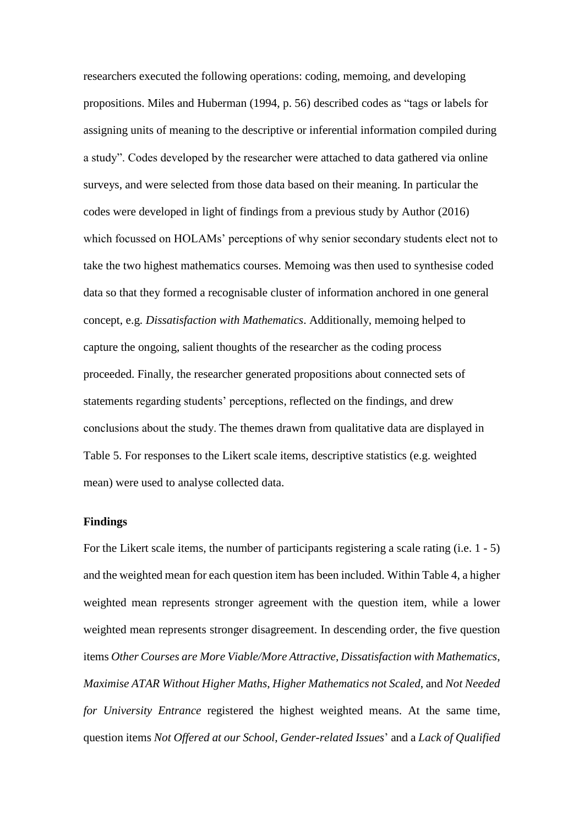researchers executed the following operations: coding, memoing, and developing propositions. Miles and Huberman (1994, p. 56) described codes as "tags or labels for assigning units of meaning to the descriptive or inferential information compiled during a study". Codes developed by the researcher were attached to data gathered via online surveys, and were selected from those data based on their meaning. In particular the codes were developed in light of findings from a previous study by Author (2016) which focussed on HOLAMs' perceptions of why senior secondary students elect not to take the two highest mathematics courses. Memoing was then used to synthesise coded data so that they formed a recognisable cluster of information anchored in one general concept, e.g. *Dissatisfaction with Mathematics*. Additionally, memoing helped to capture the ongoing, salient thoughts of the researcher as the coding process proceeded. Finally, the researcher generated propositions about connected sets of statements regarding students' perceptions, reflected on the findings, and drew conclusions about the study. The themes drawn from qualitative data are displayed in Table 5. For responses to the Likert scale items, descriptive statistics (e.g. weighted mean) were used to analyse collected data.

#### **Findings**

For the Likert scale items, the number of participants registering a scale rating (i.e. 1 - 5) and the weighted mean for each question item has been included. Within Table 4, a higher weighted mean represents stronger agreement with the question item, while a lower weighted mean represents stronger disagreement. In descending order, the five question items *Other Courses are More Viable/More Attractive*, *Dissatisfaction with Mathematics*, *Maximise ATAR Without Higher Maths*, *Higher Mathematics not Scaled*, and *Not Needed for University Entrance* registered the highest weighted means. At the same time, question items *Not Offered at our School*, *Gender-related Issues*' and a *Lack of Qualified*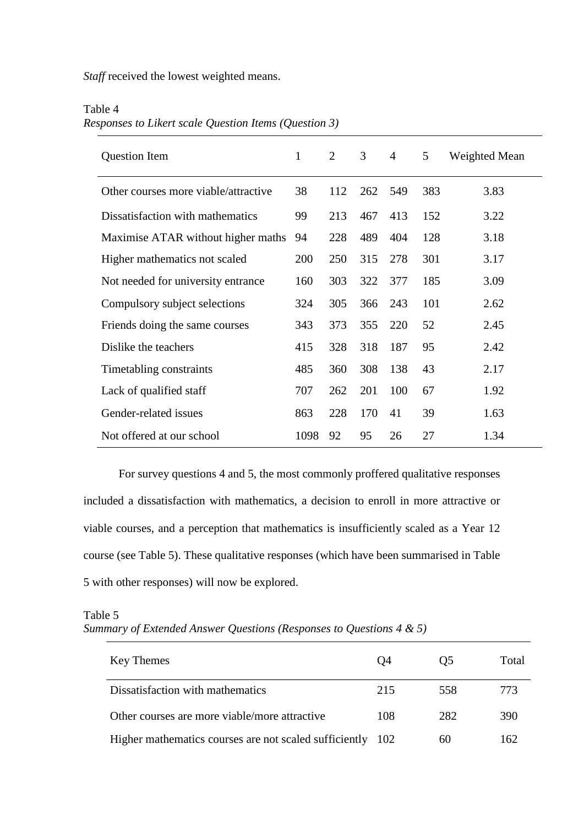*Staff* received the lowest weighted means.

Table 4

| Responses to Likert scale Question Items (Question 3) |  |  |  |
|-------------------------------------------------------|--|--|--|
|-------------------------------------------------------|--|--|--|

| Question Item                        | $\mathbf{1}$ | $\overline{2}$ | 3   | $\overline{4}$ | 5   | Weighted Mean |
|--------------------------------------|--------------|----------------|-----|----------------|-----|---------------|
| Other courses more viable/attractive | 38           | 112            | 262 | 549            | 383 | 3.83          |
| Dissatisfaction with mathematics     | 99           | 213            | 467 | 413            | 152 | 3.22          |
| Maximise ATAR without higher maths   | 94           | 228            | 489 | 404            | 128 | 3.18          |
| Higher mathematics not scaled        | 200          | 250            | 315 | 278            | 301 | 3.17          |
| Not needed for university entrance   | 160          | 303            | 322 | 377            | 185 | 3.09          |
| Compulsory subject selections        | 324          | 305            | 366 | 243            | 101 | 2.62          |
| Friends doing the same courses       | 343          | 373            | 355 | 220            | 52  | 2.45          |
| Dislike the teachers                 | 415          | 328            | 318 | 187            | 95  | 2.42          |
| Timetabling constraints              | 485          | 360            | 308 | 138            | 43  | 2.17          |
| Lack of qualified staff              | 707          | 262            | 201 | 100            | 67  | 1.92          |
| Gender-related issues                | 863          | 228            | 170 | 41             | 39  | 1.63          |
| Not offered at our school            | 1098         | 92             | 95  | 26             | 27  | 1.34          |

For survey questions 4 and 5, the most commonly proffered qualitative responses included a dissatisfaction with mathematics, a decision to enroll in more attractive or viable courses, and a perception that mathematics is insufficiently scaled as a Year 12 course (see Table 5). These qualitative responses (which have been summarised in Table 5 with other responses) will now be explored.

| Table 5                                                                |  |
|------------------------------------------------------------------------|--|
| Summary of Extended Answer Questions (Responses to Questions 4 $\&$ 5) |  |

| Key Themes                                             | O4             | O <sub>5</sub> | Total |
|--------------------------------------------------------|----------------|----------------|-------|
| Dissatisfaction with mathematics                       | 215            | 558            | 773   |
| Other courses are more viable/more attractive          | 108            | 282            | 390   |
| Higher mathematics courses are not scaled sufficiently | <sup>102</sup> | 60             | 162   |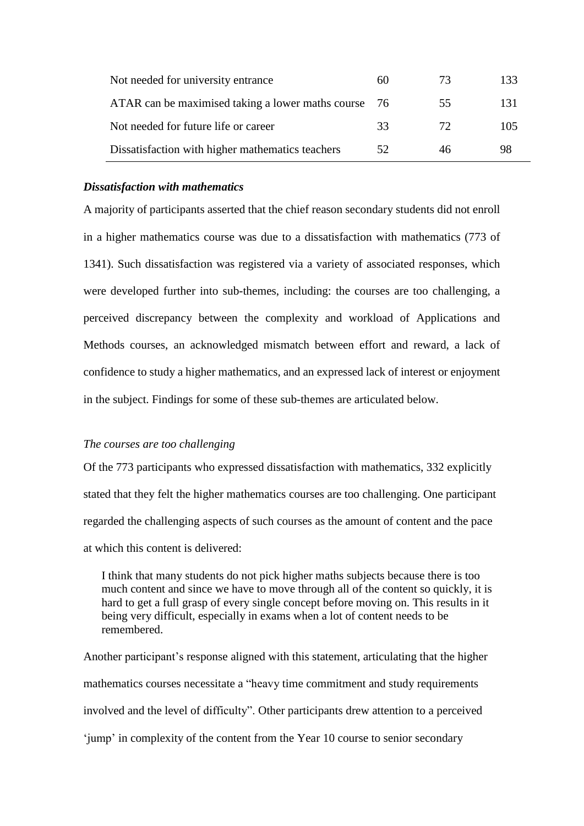| Not needed for university entrance                   | 60 | 73. | 133 |
|------------------------------------------------------|----|-----|-----|
| ATAR can be maximised taking a lower maths course 76 |    | 55  | 131 |
| Not needed for future life or career                 | 33 | 72. | 105 |
| Dissatisfaction with higher mathematics teachers     | 52 | 46  | 98  |

#### *Dissatisfaction with mathematics*

A majority of participants asserted that the chief reason secondary students did not enroll in a higher mathematics course was due to a dissatisfaction with mathematics (773 of 1341). Such dissatisfaction was registered via a variety of associated responses, which were developed further into sub-themes, including: the courses are too challenging, a perceived discrepancy between the complexity and workload of Applications and Methods courses, an acknowledged mismatch between effort and reward, a lack of confidence to study a higher mathematics, and an expressed lack of interest or enjoyment in the subject. Findings for some of these sub-themes are articulated below.

# *The courses are too challenging*

Of the 773 participants who expressed dissatisfaction with mathematics, 332 explicitly stated that they felt the higher mathematics courses are too challenging. One participant regarded the challenging aspects of such courses as the amount of content and the pace at which this content is delivered:

I think that many students do not pick higher maths subjects because there is too much content and since we have to move through all of the content so quickly, it is hard to get a full grasp of every single concept before moving on. This results in it being very difficult, especially in exams when a lot of content needs to be remembered.

Another participant's response aligned with this statement, articulating that the higher mathematics courses necessitate a "heavy time commitment and study requirements involved and the level of difficulty". Other participants drew attention to a perceived 'jump' in complexity of the content from the Year 10 course to senior secondary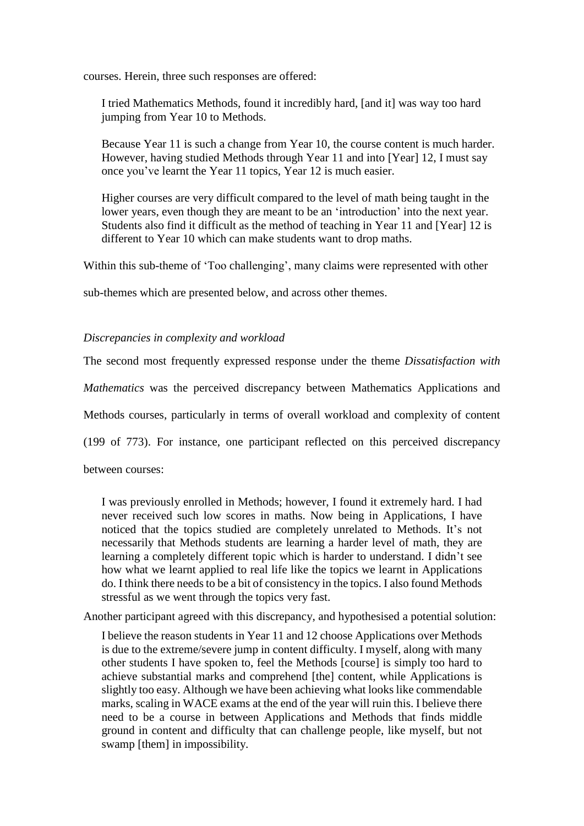courses. Herein, three such responses are offered:

I tried Mathematics Methods, found it incredibly hard, [and it] was way too hard jumping from Year 10 to Methods.

Because Year 11 is such a change from Year 10, the course content is much harder. However, having studied Methods through Year 11 and into [Year] 12, I must say once you've learnt the Year 11 topics, Year 12 is much easier.

Higher courses are very difficult compared to the level of math being taught in the lower years, even though they are meant to be an 'introduction' into the next year. Students also find it difficult as the method of teaching in Year 11 and [Year] 12 is different to Year 10 which can make students want to drop maths.

Within this sub-theme of 'Too challenging', many claims were represented with other

sub-themes which are presented below, and across other themes.

# *Discrepancies in complexity and workload*

The second most frequently expressed response under the theme *Dissatisfaction with*

*Mathematics* was the perceived discrepancy between Mathematics Applications and

Methods courses, particularly in terms of overall workload and complexity of content

(199 of 773). For instance, one participant reflected on this perceived discrepancy

between courses:

I was previously enrolled in Methods; however, I found it extremely hard. I had never received such low scores in maths. Now being in Applications, I have noticed that the topics studied are completely unrelated to Methods. It's not necessarily that Methods students are learning a harder level of math, they are learning a completely different topic which is harder to understand. I didn't see how what we learnt applied to real life like the topics we learnt in Applications do. I think there needs to be a bit of consistency in the topics. I also found Methods stressful as we went through the topics very fast.

Another participant agreed with this discrepancy, and hypothesised a potential solution:

I believe the reason students in Year 11 and 12 choose Applications over Methods is due to the extreme/severe jump in content difficulty. I myself, along with many other students I have spoken to, feel the Methods [course] is simply too hard to achieve substantial marks and comprehend [the] content, while Applications is slightly too easy. Although we have been achieving what looks like commendable marks, scaling in WACE exams at the end of the year will ruin this. I believe there need to be a course in between Applications and Methods that finds middle ground in content and difficulty that can challenge people, like myself, but not swamp [them] in impossibility.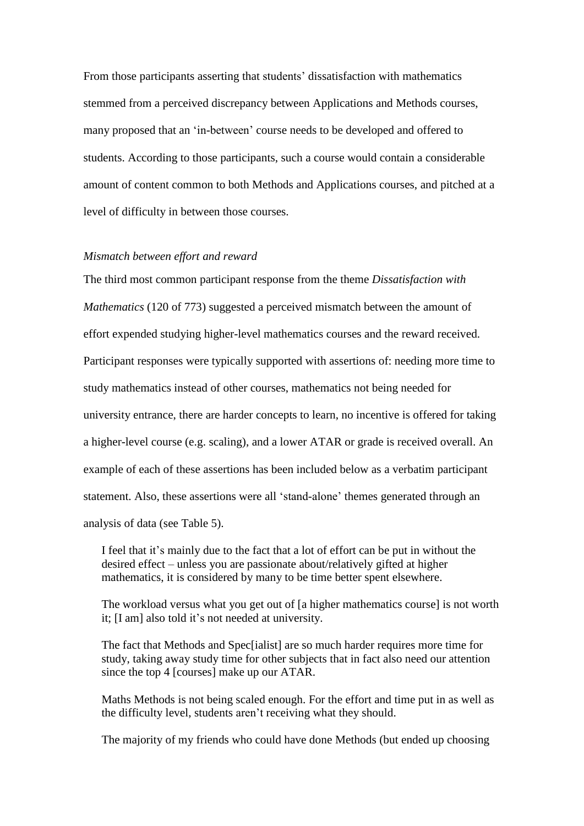From those participants asserting that students' dissatisfaction with mathematics stemmed from a perceived discrepancy between Applications and Methods courses, many proposed that an 'in-between' course needs to be developed and offered to students. According to those participants, such a course would contain a considerable amount of content common to both Methods and Applications courses, and pitched at a level of difficulty in between those courses.

#### *Mismatch between effort and reward*

The third most common participant response from the theme *Dissatisfaction with Mathematics* (120 of 773) suggested a perceived mismatch between the amount of effort expended studying higher-level mathematics courses and the reward received. Participant responses were typically supported with assertions of: needing more time to study mathematics instead of other courses, mathematics not being needed for university entrance, there are harder concepts to learn, no incentive is offered for taking a higher-level course (e.g. scaling), and a lower ATAR or grade is received overall. An example of each of these assertions has been included below as a verbatim participant statement. Also, these assertions were all 'stand-alone' themes generated through an analysis of data (see Table 5).

I feel that it's mainly due to the fact that a lot of effort can be put in without the desired effect – unless you are passionate about/relatively gifted at higher mathematics, it is considered by many to be time better spent elsewhere.

The workload versus what you get out of [a higher mathematics course] is not worth it; [I am] also told it's not needed at university.

The fact that Methods and Spec[ialist] are so much harder requires more time for study, taking away study time for other subjects that in fact also need our attention since the top 4 [courses] make up our ATAR.

Maths Methods is not being scaled enough. For the effort and time put in as well as the difficulty level, students aren't receiving what they should.

The majority of my friends who could have done Methods (but ended up choosing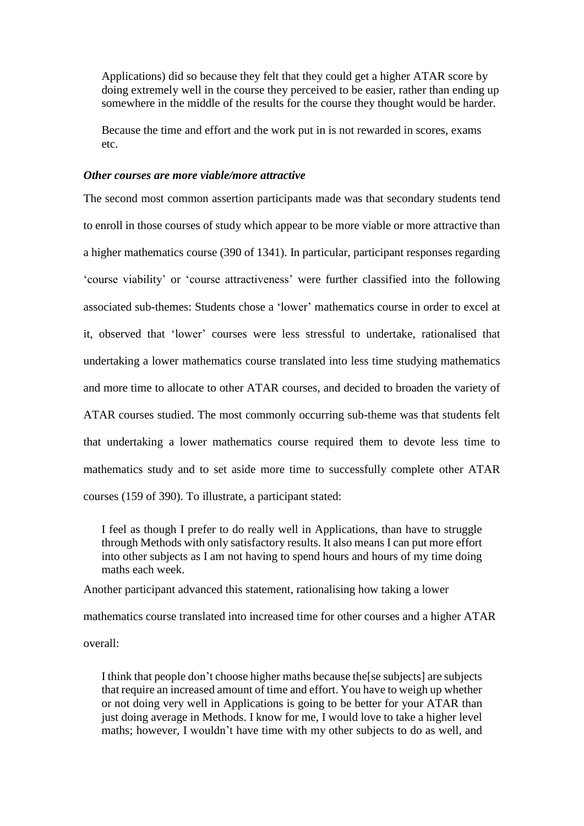Applications) did so because they felt that they could get a higher ATAR score by doing extremely well in the course they perceived to be easier, rather than ending up somewhere in the middle of the results for the course they thought would be harder.

Because the time and effort and the work put in is not rewarded in scores, exams etc.

#### *Other courses are more viable/more attractive*

The second most common assertion participants made was that secondary students tend to enroll in those courses of study which appear to be more viable or more attractive than a higher mathematics course (390 of 1341). In particular, participant responses regarding 'course viability' or 'course attractiveness' were further classified into the following associated sub-themes: Students chose a 'lower' mathematics course in order to excel at it, observed that 'lower' courses were less stressful to undertake, rationalised that undertaking a lower mathematics course translated into less time studying mathematics and more time to allocate to other ATAR courses, and decided to broaden the variety of ATAR courses studied. The most commonly occurring sub-theme was that students felt that undertaking a lower mathematics course required them to devote less time to mathematics study and to set aside more time to successfully complete other ATAR courses (159 of 390). To illustrate, a participant stated:

I feel as though I prefer to do really well in Applications, than have to struggle through Methods with only satisfactory results. It also means I can put more effort into other subjects as I am not having to spend hours and hours of my time doing maths each week.

Another participant advanced this statement, rationalising how taking a lower

mathematics course translated into increased time for other courses and a higher ATAR

overall:

I think that people don't choose higher maths because the[se subjects] are subjects that require an increased amount of time and effort. You have to weigh up whether or not doing very well in Applications is going to be better for your ATAR than just doing average in Methods. I know for me, I would love to take a higher level maths; however, I wouldn't have time with my other subjects to do as well, and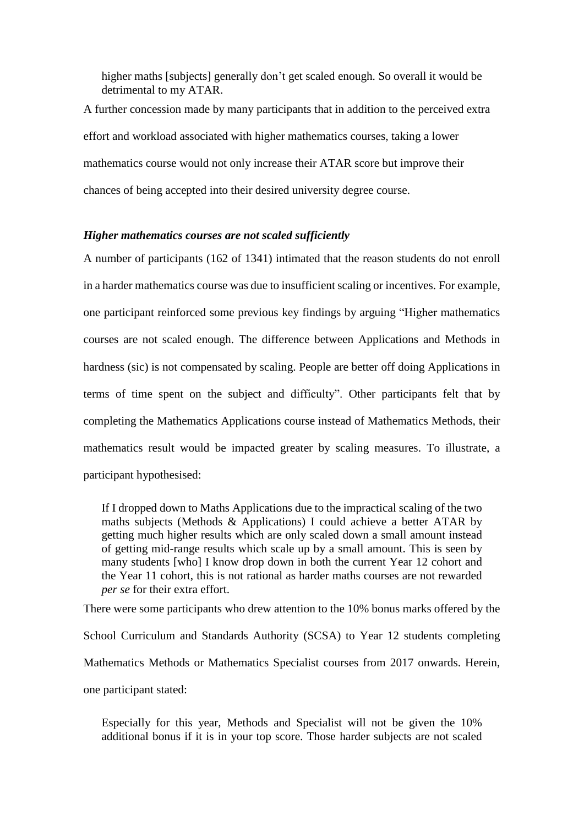higher maths [subjects] generally don't get scaled enough. So overall it would be detrimental to my ATAR.

A further concession made by many participants that in addition to the perceived extra effort and workload associated with higher mathematics courses, taking a lower mathematics course would not only increase their ATAR score but improve their chances of being accepted into their desired university degree course.

# *Higher mathematics courses are not scaled sufficiently*

A number of participants (162 of 1341) intimated that the reason students do not enroll in a harder mathematics course was due to insufficient scaling or incentives. For example, one participant reinforced some previous key findings by arguing "Higher mathematics courses are not scaled enough. The difference between Applications and Methods in hardness (sic) is not compensated by scaling. People are better off doing Applications in terms of time spent on the subject and difficulty". Other participants felt that by completing the Mathematics Applications course instead of Mathematics Methods, their mathematics result would be impacted greater by scaling measures. To illustrate, a participant hypothesised:

If I dropped down to Maths Applications due to the impractical scaling of the two maths subjects (Methods & Applications) I could achieve a better ATAR by getting much higher results which are only scaled down a small amount instead of getting mid-range results which scale up by a small amount. This is seen by many students [who] I know drop down in both the current Year 12 cohort and the Year 11 cohort, this is not rational as harder maths courses are not rewarded *per se* for their extra effort.

There were some participants who drew attention to the 10% bonus marks offered by the School Curriculum and Standards Authority (SCSA) to Year 12 students completing Mathematics Methods or Mathematics Specialist courses from 2017 onwards. Herein, one participant stated:

Especially for this year, Methods and Specialist will not be given the 10% additional bonus if it is in your top score. Those harder subjects are not scaled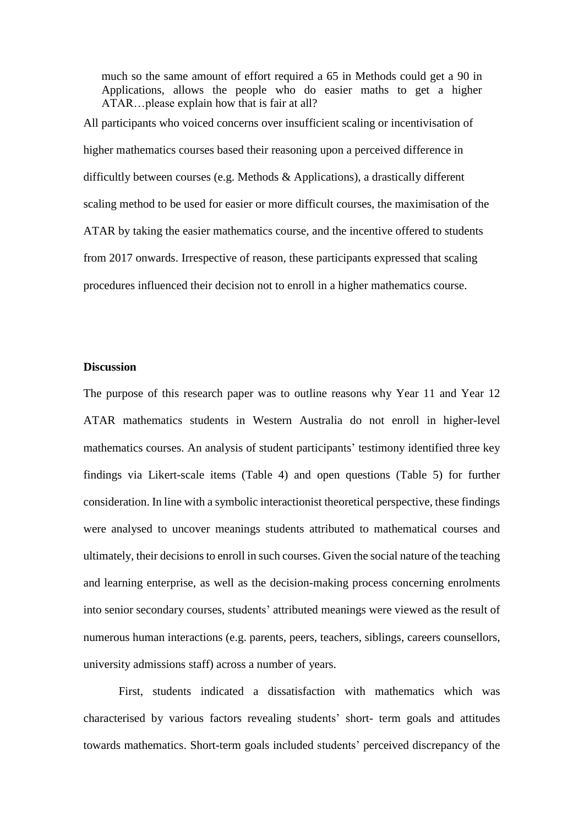much so the same amount of effort required a 65 in Methods could get a 90 in Applications, allows the people who do easier maths to get a higher ATAR…please explain how that is fair at all?

All participants who voiced concerns over insufficient scaling or incentivisation of higher mathematics courses based their reasoning upon a perceived difference in difficultly between courses (e.g. Methods & Applications), a drastically different scaling method to be used for easier or more difficult courses, the maximisation of the ATAR by taking the easier mathematics course, and the incentive offered to students from 2017 onwards. Irrespective of reason, these participants expressed that scaling procedures influenced their decision not to enroll in a higher mathematics course.

#### **Discussion**

The purpose of this research paper was to outline reasons why Year 11 and Year 12 ATAR mathematics students in Western Australia do not enroll in higher-level mathematics courses. An analysis of student participants' testimony identified three key findings via Likert-scale items (Table 4) and open questions (Table 5) for further consideration. In line with a symbolic interactionist theoretical perspective, these findings were analysed to uncover meanings students attributed to mathematical courses and ultimately, their decisions to enroll in such courses. Given the social nature of the teaching and learning enterprise, as well as the decision-making process concerning enrolments into senior secondary courses, students' attributed meanings were viewed as the result of numerous human interactions (e.g. parents, peers, teachers, siblings, careers counsellors, university admissions staff) across a number of years.

First, students indicated a dissatisfaction with mathematics which was characterised by various factors revealing students' short- term goals and attitudes towards mathematics. Short-term goals included students' perceived discrepancy of the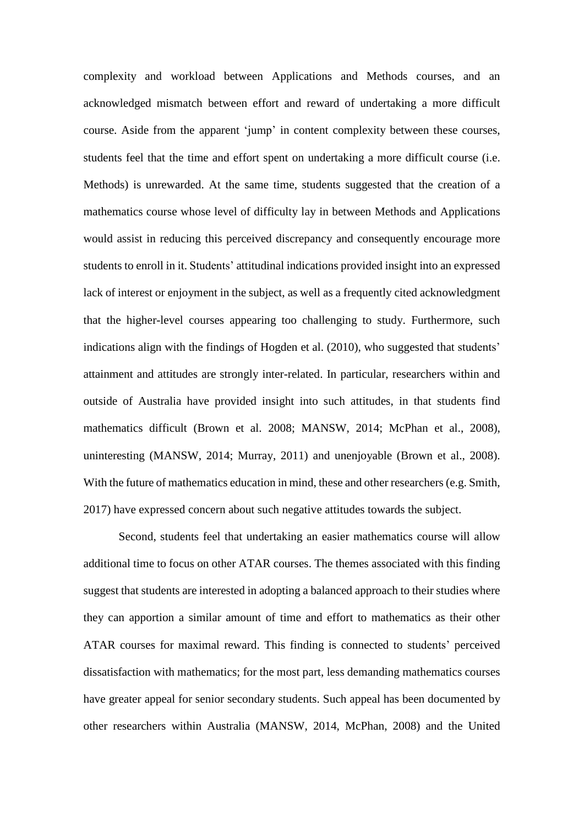complexity and workload between Applications and Methods courses, and an acknowledged mismatch between effort and reward of undertaking a more difficult course. Aside from the apparent 'jump' in content complexity between these courses, students feel that the time and effort spent on undertaking a more difficult course (i.e. Methods) is unrewarded. At the same time, students suggested that the creation of a mathematics course whose level of difficulty lay in between Methods and Applications would assist in reducing this perceived discrepancy and consequently encourage more students to enroll in it. Students' attitudinal indications provided insight into an expressed lack of interest or enjoyment in the subject, as well as a frequently cited acknowledgment that the higher-level courses appearing too challenging to study. Furthermore, such indications align with the findings of Hogden et al. (2010), who suggested that students' attainment and attitudes are strongly inter-related. In particular, researchers within and outside of Australia have provided insight into such attitudes, in that students find mathematics difficult (Brown et al. 2008; MANSW, 2014; McPhan et al., 2008), uninteresting (MANSW, 2014; Murray, 2011) and unenjoyable (Brown et al., 2008). With the future of mathematics education in mind, these and other researchers (e.g. Smith, 2017) have expressed concern about such negative attitudes towards the subject.

Second, students feel that undertaking an easier mathematics course will allow additional time to focus on other ATAR courses. The themes associated with this finding suggest that students are interested in adopting a balanced approach to their studies where they can apportion a similar amount of time and effort to mathematics as their other ATAR courses for maximal reward. This finding is connected to students' perceived dissatisfaction with mathematics; for the most part, less demanding mathematics courses have greater appeal for senior secondary students. Such appeal has been documented by other researchers within Australia (MANSW, 2014, McPhan, 2008) and the United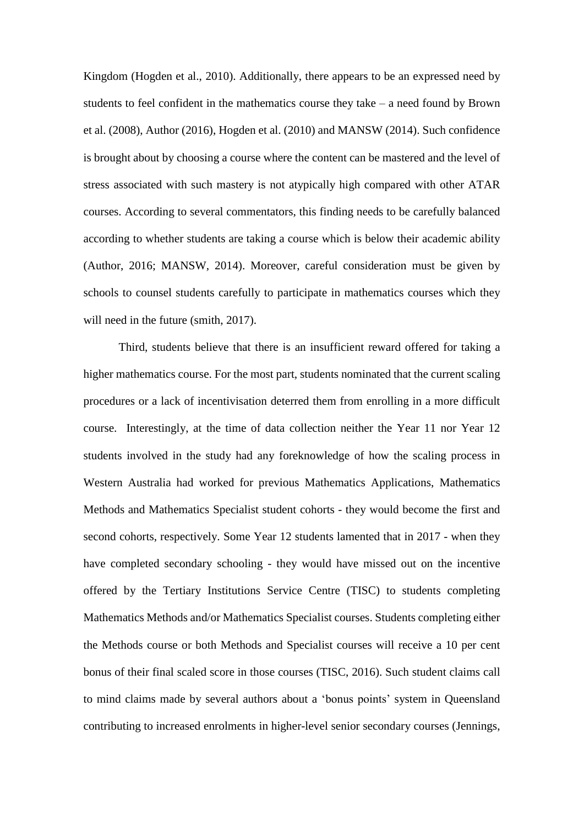Kingdom (Hogden et al., 2010). Additionally, there appears to be an expressed need by students to feel confident in the mathematics course they take – a need found by Brown et al. (2008), Author (2016), Hogden et al. (2010) and MANSW (2014). Such confidence is brought about by choosing a course where the content can be mastered and the level of stress associated with such mastery is not atypically high compared with other ATAR courses. According to several commentators, this finding needs to be carefully balanced according to whether students are taking a course which is below their academic ability (Author, 2016; MANSW, 2014). Moreover, careful consideration must be given by schools to counsel students carefully to participate in mathematics courses which they will need in the future (smith, 2017).

Third, students believe that there is an insufficient reward offered for taking a higher mathematics course. For the most part, students nominated that the current scaling procedures or a lack of incentivisation deterred them from enrolling in a more difficult course. Interestingly, at the time of data collection neither the Year 11 nor Year 12 students involved in the study had any foreknowledge of how the scaling process in Western Australia had worked for previous Mathematics Applications, Mathematics Methods and Mathematics Specialist student cohorts - they would become the first and second cohorts, respectively. Some Year 12 students lamented that in 2017 - when they have completed secondary schooling - they would have missed out on the incentive offered by the Tertiary Institutions Service Centre (TISC) to students completing Mathematics Methods and/or Mathematics Specialist courses. Students completing either the Methods course or both Methods and Specialist courses will receive a 10 per cent bonus of their final scaled score in those courses (TISC, 2016). Such student claims call to mind claims made by several authors about a 'bonus points' system in Queensland contributing to increased enrolments in higher-level senior secondary courses (Jennings,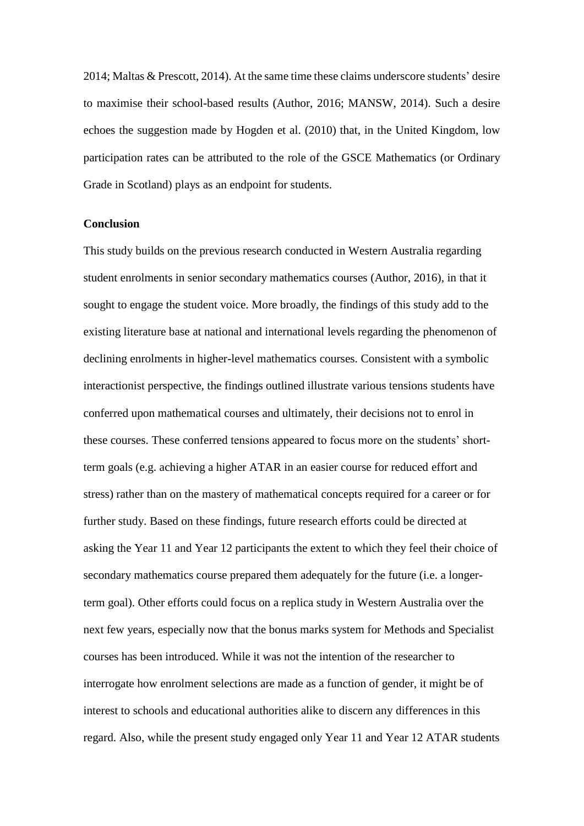2014; Maltas & Prescott, 2014). At the same time these claims underscore students' desire to maximise their school-based results (Author, 2016; MANSW, 2014). Such a desire echoes the suggestion made by Hogden et al. (2010) that, in the United Kingdom, low participation rates can be attributed to the role of the GSCE Mathematics (or Ordinary Grade in Scotland) plays as an endpoint for students.

#### **Conclusion**

This study builds on the previous research conducted in Western Australia regarding student enrolments in senior secondary mathematics courses (Author, 2016), in that it sought to engage the student voice. More broadly, the findings of this study add to the existing literature base at national and international levels regarding the phenomenon of declining enrolments in higher-level mathematics courses. Consistent with a symbolic interactionist perspective, the findings outlined illustrate various tensions students have conferred upon mathematical courses and ultimately, their decisions not to enrol in these courses. These conferred tensions appeared to focus more on the students' shortterm goals (e.g. achieving a higher ATAR in an easier course for reduced effort and stress) rather than on the mastery of mathematical concepts required for a career or for further study. Based on these findings, future research efforts could be directed at asking the Year 11 and Year 12 participants the extent to which they feel their choice of secondary mathematics course prepared them adequately for the future (i.e. a longerterm goal). Other efforts could focus on a replica study in Western Australia over the next few years, especially now that the bonus marks system for Methods and Specialist courses has been introduced. While it was not the intention of the researcher to interrogate how enrolment selections are made as a function of gender, it might be of interest to schools and educational authorities alike to discern any differences in this regard. Also, while the present study engaged only Year 11 and Year 12 ATAR students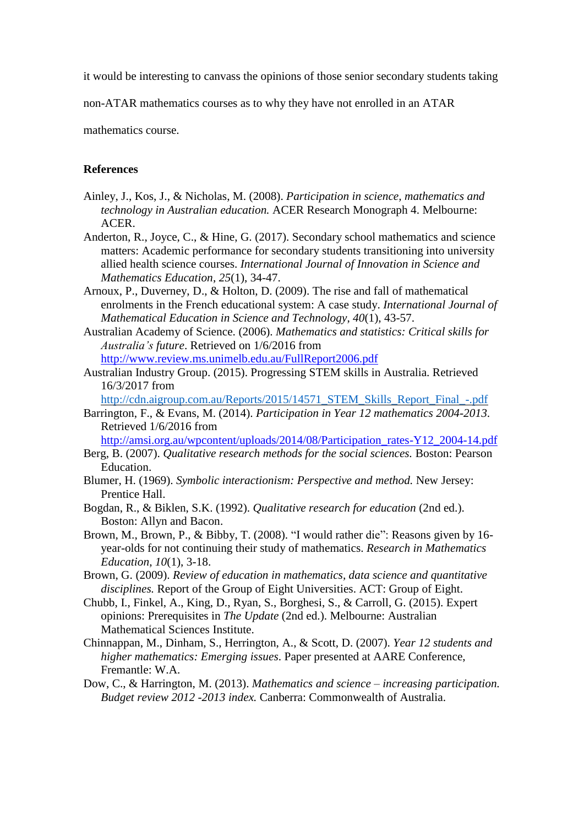it would be interesting to canvass the opinions of those senior secondary students taking

non-ATAR mathematics courses as to why they have not enrolled in an ATAR

mathematics course.

# **References**

- Ainley, J., Kos, J., & Nicholas, M. (2008). *Participation in science, mathematics and technology in Australian education.* ACER Research Monograph 4. Melbourne: ACER.
- Anderton, R., Joyce, C., & Hine, G. (2017). Secondary school mathematics and science matters: Academic performance for secondary students transitioning into university allied health science courses. *International Journal of Innovation in Science and Mathematics Education*, *25*(1), 34-47.
- Arnoux, P., Duverney, D., & Holton, D. (2009). The rise and fall of mathematical enrolments in the French educational system: A case study. *International Journal of Mathematical Education in Science and Technology*, *40*(1), 43-57.
- Australian Academy of Science. (2006). *Mathematics and statistics: Critical skills for Australia's future*. Retrieved on 1/6/2016 from

http://www.review.ms.unimelb.edu.au/FullReport2006.pdf

Australian Industry Group. (2015). Progressing STEM skills in Australia. Retrieved 16/3/2017 from

[http://cdn.aigroup.com.au/Reports/2015/14571\\_STEM\\_Skills\\_Report\\_Final\\_-.pdf](http://cdn.aigroup.com.au/Reports/2015/14571_STEM_Skills_Report_Final_-.pdf)

Barrington, F., & Evans, M. (2014). *Participation in Year 12 mathematics 2004-2013*. Retrieved 1/6/2016 from

http://amsi.org.au/wpcontent/uploads/2014/08/Participation\_rates-Y12\_2004-14.pdf

- Berg, B. (2007). *Qualitative research methods for the social sciences.* Boston: Pearson Education.
- Blumer, H. (1969). *Symbolic interactionism: Perspective and method.* New Jersey: Prentice Hall.
- Bogdan, R., & Biklen, S.K. (1992). *Qualitative research for education* (2nd ed.). Boston: Allyn and Bacon.
- Brown, M., Brown, P., & Bibby, T. (2008). "I would rather die": Reasons given by 16 year-olds for not continuing their study of mathematics. *Research in Mathematics Education*, *10*(1), 3-18.
- Brown, G. (2009). *Review of education in mathematics, data science and quantitative disciplines.* Report of the Group of Eight Universities. ACT: Group of Eight.
- Chubb, I., Finkel, A., King, D., Ryan, S., Borghesi, S., & Carroll, G. (2015). Expert opinions: Prerequisites in *The Update* (2nd ed.). Melbourne: Australian Mathematical Sciences Institute.
- Chinnappan, M., Dinham, S., Herrington, A., & Scott, D. (2007). *Year 12 students and higher mathematics: Emerging issues*. Paper presented at AARE Conference, Fremantle: W.A.
- Dow, C., & Harrington, M. (2013). *Mathematics and science – increasing participation. Budget review 2012 -2013 index.* Canberra: Commonwealth of Australia.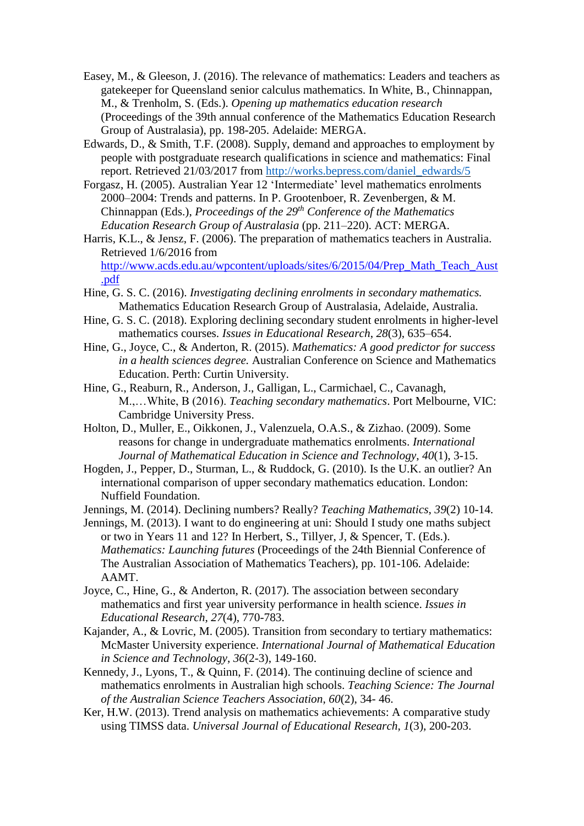- Easey, M., & Gleeson, J. (2016). The relevance of mathematics: Leaders and teachers as gatekeeper for Queensland senior calculus mathematics. In White, B., Chinnappan, M., & Trenholm, S. (Eds.). *Opening up mathematics education research* (Proceedings of the 39th annual conference of the Mathematics Education Research Group of Australasia), pp. 198-205. Adelaide: MERGA.
- Edwards, D., & Smith, T.F. (2008). Supply, demand and approaches to employment by people with postgraduate research qualifications in science and mathematics: Final report. Retrieved 21/03/2017 from [http://works.bepress.com/daniel\\_edwards/5](http://works.bepress.com/daniel_edwards/5)
- Forgasz, H. (2005). Australian Year 12 'Intermediate' level mathematics enrolments 2000–2004: Trends and patterns. In P. Grootenboer, R. Zevenbergen, & M. Chinnappan (Eds.), *Proceedings of the 29th Conference of the Mathematics Education Research Group of Australasia* (pp. 211–220). ACT: MERGA.
- Harris, K.L., & Jensz, F. (2006). The preparation of mathematics teachers in Australia. Retrieved 1/6/2016 from http://www.acds.edu.au/wpcontent/uploads/sites/6/2015/04/Prep\_Math\_Teach\_Aust .pdf
- Hine, G. S. C. (2016). *Investigating declining enrolments in secondary mathematics.* Mathematics Education Research Group of Australasia, Adelaide, Australia.
- Hine, G. S. C. (2018). Exploring declining secondary student enrolments in higher-level mathematics courses. *Issues in Educational Research*, *28*(3), 635–654.
- Hine, G., Joyce, C., & Anderton, R. (2015). *Mathematics: A good predictor for success in a health sciences degree.* Australian Conference on Science and Mathematics Education. Perth: Curtin University.
- Hine, G., Reaburn, R., Anderson, J., Galligan, L., Carmichael, C., Cavanagh, M.,…White, B (2016). *Teaching secondary mathematics*. Port Melbourne, VIC: Cambridge University Press.
- Holton, D., Muller, E., Oikkonen, J., Valenzuela, O.A.S., & Zizhao. (2009). Some reasons for change in undergraduate mathematics enrolments. *International Journal of Mathematical Education in Science and Technology*, *40*(1), 3-15.
- Hogden, J., Pepper, D., Sturman, L., & Ruddock, G. (2010). Is the U.K. an outlier? An international comparison of upper secondary mathematics education. London: Nuffield Foundation.

Jennings, M. (2014). Declining numbers? Really? *Teaching Mathematics*, *39*(2) 10-14.

- Jennings, M. (2013). I want to do engineering at uni: Should I study one maths subject or two in Years 11 and 12? In Herbert, S., Tillyer, J, & Spencer, T. (Eds.). *Mathematics: Launching futures* (Proceedings of the 24th Biennial Conference of The Australian Association of Mathematics Teachers), pp. 101-106. Adelaide: AAMT.
- Joyce, C., Hine, G., & Anderton, R. (2017). The association between secondary mathematics and first year university performance in health science. *Issues in Educational Research*, *27*(4), 770-783.
- Kajander, A., & Lovric, M. (2005). Transition from secondary to tertiary mathematics: McMaster University experience. *International Journal of Mathematical Education in Science and Technology*, *36*(2-3), 149-160.
- Kennedy, J., Lyons, T., & Quinn, F. (2014). The continuing decline of science and mathematics enrolments in Australian high schools. *Teaching Science: The Journal of the Australian Science Teachers Association*, *60*(2), 34- 46.
- Ker, H.W. (2013). Trend analysis on mathematics achievements: A comparative study using TIMSS data. *Universal Journal of Educational Research*, *1*(3), 200-203.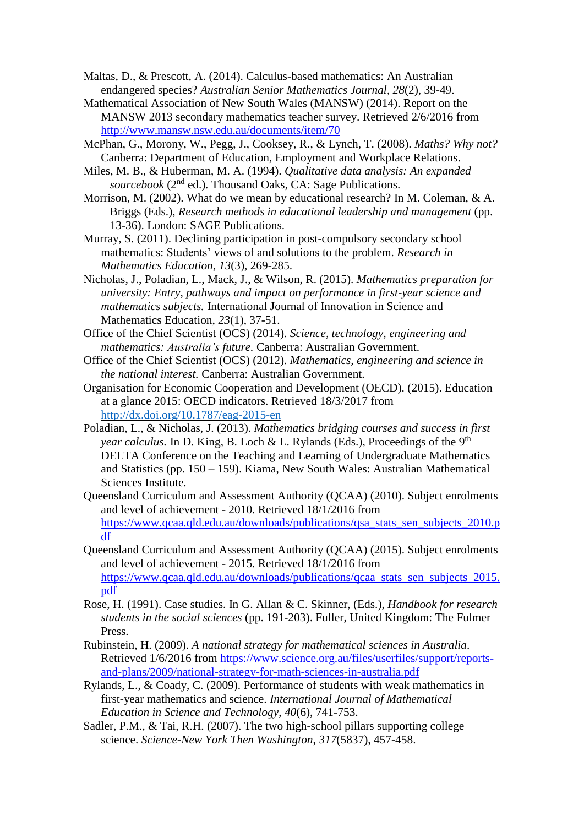- Maltas, D., & Prescott, A. (2014). Calculus-based mathematics: An Australian endangered species? *Australian Senior Mathematics Journal*, *28*(2), 39-49.
- Mathematical Association of New South Wales (MANSW) (2014). Report on the MANSW 2013 secondary mathematics teacher survey. Retrieved 2/6/2016 from http://www.mansw.nsw.edu.au/documents/item/70
- McPhan, G., Morony, W., Pegg, J., Cooksey, R., & Lynch, T. (2008). *Maths? Why not?* Canberra: Department of Education, Employment and Workplace Relations.
- Miles, M. B., & Huberman, M. A. (1994). *Qualitative data analysis: An expanded sourcebook* (2nd ed.)*.* Thousand Oaks, CA: Sage Publications.
- Morrison, M. (2002). What do we mean by educational research? In M. Coleman, & A. Briggs (Eds.), *Research methods in educational leadership and management* (pp. 13-36). London: SAGE Publications.
- Murray, S. (2011). Declining participation in post-compulsory secondary school mathematics: Students' views of and solutions to the problem. *Research in Mathematics Education*, *13*(3), 269-285.
- Nicholas, J., Poladian, L., Mack, J., & Wilson, R. (2015). *Mathematics preparation for university: Entry, pathways and impact on performance in first-year science and mathematics subjects.* International Journal of Innovation in Science and Mathematics Education, *23*(1), 37-51.
- Office of the Chief Scientist (OCS) (2014). *Science, technology, engineering and mathematics: Australia's future.* Canberra: Australian Government.
- Office of the Chief Scientist (OCS) (2012). *Mathematics, engineering and science in the national interest.* Canberra: Australian Government.
- Organisation for Economic Cooperation and Development (OECD). (2015). Education at a glance 2015: OECD indicators. Retrieved 18/3/2017 from <http://dx.doi.org/10.1787/eag-2015-en>
- Poladian, L., & Nicholas, J. (2013). *Mathematics bridging courses and success in first* year *calculus*. In D. King, B. Loch & L. Rylands (Eds.), Proceedings of the 9<sup>th</sup> DELTA Conference on the Teaching and Learning of Undergraduate Mathematics and Statistics (pp. 150 – 159). Kiama, New South Wales: Australian Mathematical Sciences Institute.
- Queensland Curriculum and Assessment Authority (QCAA) (2010). Subject enrolments and level of achievement - 2010. Retrieved 18/1/2016 from [https://www.qcaa.qld.edu.au/downloads/publications/qsa\\_stats\\_sen\\_subjects\\_2010.p](https://www.qcaa.qld.edu.au/downloads/publications/qsa_stats_sen_subjects_2010.pdf) [df](https://www.qcaa.qld.edu.au/downloads/publications/qsa_stats_sen_subjects_2010.pdf)
- Queensland Curriculum and Assessment Authority (QCAA) (2015). Subject enrolments and level of achievement - 2015. Retrieved 18/1/2016 from [https://www.qcaa.qld.edu.au/downloads/publications/qcaa\\_stats\\_sen\\_subjects\\_2015.](https://www.qcaa.qld.edu.au/downloads/publications/qcaa_stats_sen_subjects_2015.pdf) [pdf](https://www.qcaa.qld.edu.au/downloads/publications/qcaa_stats_sen_subjects_2015.pdf)
- Rose, H. (1991). Case studies. In G. Allan & C. Skinner, (Eds.), *Handbook for research students in the social sciences* (pp. 191-203). Fuller, United Kingdom: The Fulmer Press.
- Rubinstein, H. (2009). *A national strategy for mathematical sciences in Australia*. Retrieved 1/6/2016 from https://www.science.org.au/files/userfiles/support/reportsand-plans/2009/national-strategy-for-math-sciences-in-australia.pdf
- Rylands, L., & Coady, C. (2009). Performance of students with weak mathematics in first-year mathematics and science. *International Journal of Mathematical Education in Science and Technology*, *40*(6), 741-753.
- Sadler, P.M., & Tai, R.H. (2007). The two high-school pillars supporting college science. *Science-New York Then Washington*, *317*(5837), 457-458.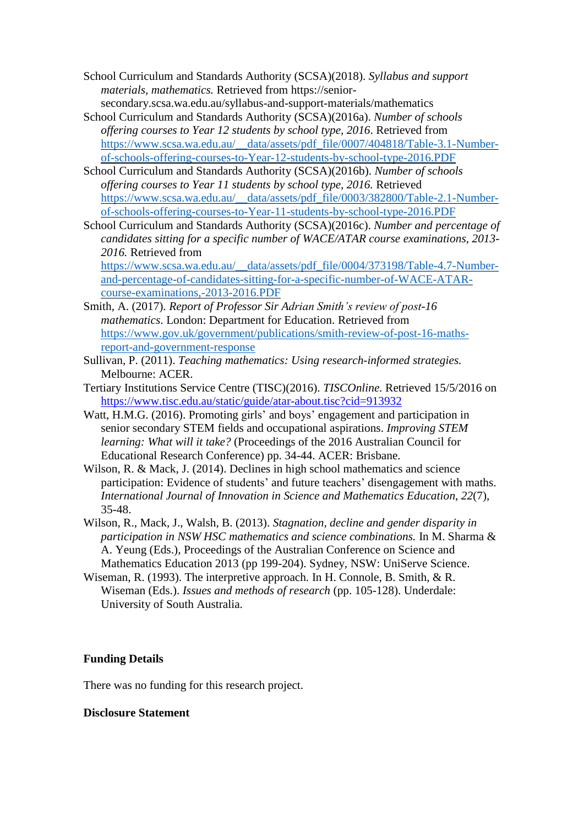School Curriculum and Standards Authority (SCSA)(2018). *Syllabus and support materials, mathematics.* Retrieved from https://senior-

secondary.scsa.wa.edu.au/syllabus-and-support-materials/mathematics School Curriculum and Standards Authority (SCSA)(2016a). *Number of schools offering courses to Year 12 students by school type, 2016*. Retrieved from [https://www.scsa.wa.edu.au/\\_\\_data/assets/pdf\\_file/0007/404818/Table-3.1-Number](https://www.scsa.wa.edu.au/__data/assets/pdf_file/0007/404818/Table-3.1-Number-of-schools-offering-courses-to-Year-12-students-by-school-type-2016.PDF)[of-schools-offering-courses-to-Year-12-students-by-school-type-2016.PDF](https://www.scsa.wa.edu.au/__data/assets/pdf_file/0007/404818/Table-3.1-Number-of-schools-offering-courses-to-Year-12-students-by-school-type-2016.PDF)

- School Curriculum and Standards Authority (SCSA)(2016b). *Number of schools offering courses to Year 11 students by school type, 2016.* Retrieved [https://www.scsa.wa.edu.au/\\_\\_data/assets/pdf\\_file/0003/382800/Table-2.1-Number](https://www.scsa.wa.edu.au/__data/assets/pdf_file/0003/382800/Table-2.1-Number-of-schools-offering-courses-to-Year-11-students-by-school-type-2016.PDF)[of-schools-offering-courses-to-Year-11-students-by-school-type-2016.PDF](https://www.scsa.wa.edu.au/__data/assets/pdf_file/0003/382800/Table-2.1-Number-of-schools-offering-courses-to-Year-11-students-by-school-type-2016.PDF)
- School Curriculum and Standards Authority (SCSA)(2016c). *Number and percentage of candidates sitting for a specific number of WACE/ATAR course examinations, 2013- 2016.* Retrieved from

[https://www.scsa.wa.edu.au/\\_\\_data/assets/pdf\\_file/0004/373198/Table-4.7-Number](https://www.scsa.wa.edu.au/__data/assets/pdf_file/0004/373198/Table-4.7-Number-and-percentage-of-candidates-sitting-for-a-specific-number-of-WACE-ATAR-course-examinations,-2013-2016.PDF)[and-percentage-of-candidates-sitting-for-a-specific-number-of-WACE-ATAR](https://www.scsa.wa.edu.au/__data/assets/pdf_file/0004/373198/Table-4.7-Number-and-percentage-of-candidates-sitting-for-a-specific-number-of-WACE-ATAR-course-examinations,-2013-2016.PDF)[course-examinations,-2013-2016.PDF](https://www.scsa.wa.edu.au/__data/assets/pdf_file/0004/373198/Table-4.7-Number-and-percentage-of-candidates-sitting-for-a-specific-number-of-WACE-ATAR-course-examinations,-2013-2016.PDF)

- Smith, A. (2017). *Report of Professor Sir Adrian Smith's review of post-16 mathematics*. London: Department for Education. Retrieved from [https://www.gov.uk/government/publications/smith-review-of-post-16-maths](https://www.gov.uk/government/publications/smith-review-of-post-16-maths-report-and-government-response)[report-and-government-response](https://www.gov.uk/government/publications/smith-review-of-post-16-maths-report-and-government-response)
- Sullivan, P. (2011). *Teaching mathematics: Using research-informed strategies.* Melbourne: ACER.
- Tertiary Institutions Service Centre (TISC)(2016). *TISCOnline.* Retrieved 15/5/2016 on https://www.tisc.edu.au/static/guide/atar-about.tisc?cid=913932
- Watt, H.M.G. (2016). Promoting girls' and boys' engagement and participation in senior secondary STEM fields and occupational aspirations. *Improving STEM learning: What will it take?* (Proceedings of the 2016 Australian Council for Educational Research Conference) pp. 34-44. ACER: Brisbane.
- Wilson, R. & Mack, J. (2014). Declines in high school mathematics and science participation: Evidence of students' and future teachers' disengagement with maths. *International Journal of Innovation in Science and Mathematics Education*, *22*(7), 35-48.
- Wilson, R., Mack, J., Walsh, B. (2013). *Stagnation, decline and gender disparity in participation in NSW HSC mathematics and science combinations.* In M. Sharma & A. Yeung (Eds.), Proceedings of the Australian Conference on Science and Mathematics Education 2013 (pp 199-204). Sydney, NSW: UniServe Science.
- Wiseman, R. (1993). The interpretive approach. In H. Connole, B. Smith, & R. Wiseman (Eds.). *Issues and methods of research* (pp. 105-128). Underdale: University of South Australia.

# **Funding Details**

There was no funding for this research project.

# **Disclosure Statement**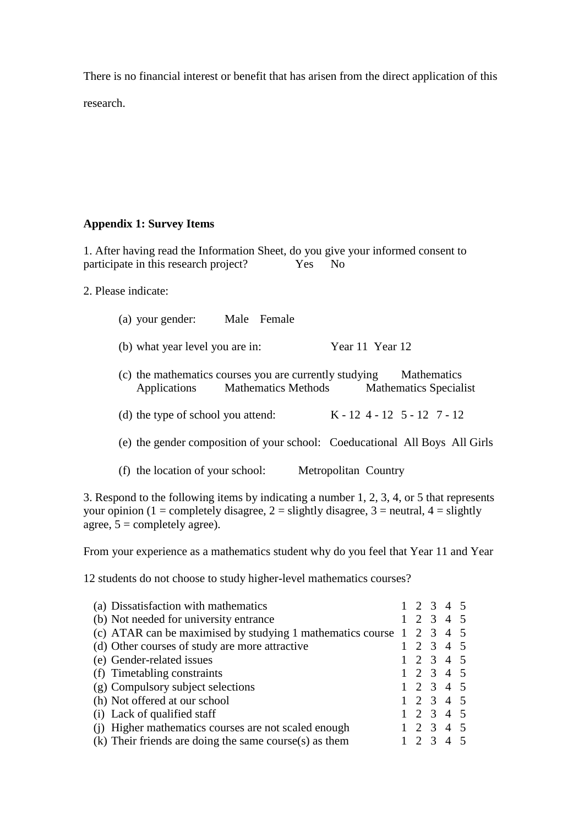There is no financial interest or benefit that has arisen from the direct application of this research.

# **Appendix 1: Survey Items**

1. After having read the Information Sheet, do you give your informed consent to participate in this research project? Yes No

2. Please indicate:

| (a) your gender: | Male Female |  |
|------------------|-------------|--|
|------------------|-------------|--|

- (b) what year level you are in: Year 11 Year 12
- (c) the mathematics courses you are currently studying Mathematics<br>Applications Mathematics Methods Mathematics Special Applications Mathematics Methods Mathematics Specialist
- (d) the type of school you attend:  $K 12 + 12 + 5 12 + 7 12$
- (e) the gender composition of your school: Coeducational All Boys All Girls
- (f) the location of your school: Metropolitan Country

3. Respond to the following items by indicating a number 1, 2, 3, 4, or 5 that represents your opinion (1 = completely disagree, 2 = slightly disagree, 3 = neutral, 4 = slightly agree,  $5 =$  completely agree).

From your experience as a mathematics student why do you feel that Year 11 and Year

12 students do not choose to study higher-level mathematics courses?

| (a) Dissatisfaction with mathematics                                 |             | 1 2 3 4 5           |  |
|----------------------------------------------------------------------|-------------|---------------------|--|
| (b) Not needed for university entrance                               | $1 \t2 \t3$ | 4 5                 |  |
| (c) ATAR can be maximised by studying 1 mathematics course 1 2 3 4 5 |             |                     |  |
| (d) Other courses of study are more attractive                       |             | $1 \t2 \t3 \t4 \t5$ |  |
| (e) Gender-related issues                                            |             | $1 \t2 \t3 \t4 \t5$ |  |
| (f) Timetabling constraints                                          |             | $1 \t2 \t3 \t4 \t5$ |  |
| (g) Compulsory subject selections                                    |             | 1 2 3 4 5           |  |
| (h) Not offered at our school                                        |             | $1 \t2 \t3 \t4 \t5$ |  |
| (i) Lack of qualified staff                                          |             | $1 \t2 \t3 \t4 \t5$ |  |
| (i) Higher mathematics courses are not scaled enough                 |             | 2 3 4 5             |  |
| $(k)$ Their friends are doing the same course $(s)$ as them          |             | 2 3 4 5             |  |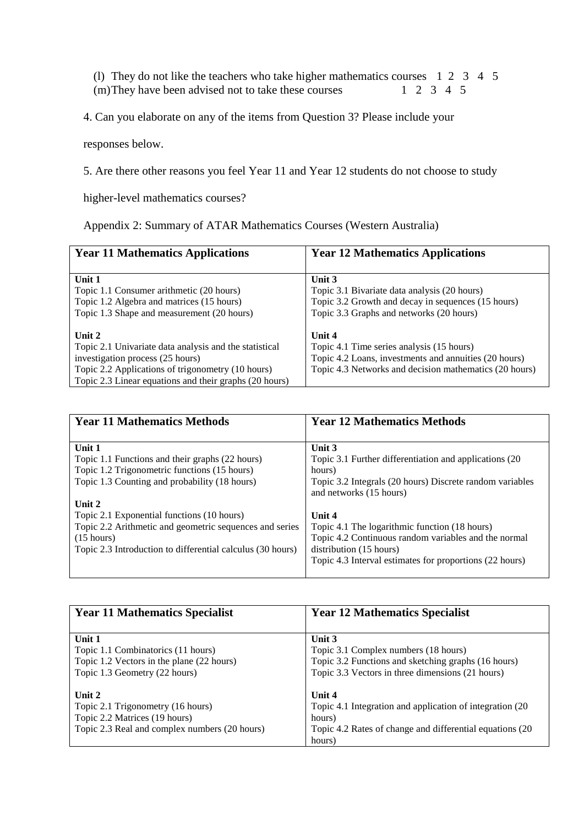(l) They do not like the teachers who take higher mathematics courses  $\begin{array}{cccc} 1 & 2 & 3 & 4 & 5 \\ 1 & 2 & 3 & 4 & 5 \end{array}$  $(m)$ They have been advised not to take these courses

4. Can you elaborate on any of the items from Question 3? Please include your

responses below.

5. Are there other reasons you feel Year 11 and Year 12 students do not choose to study

higher-level mathematics courses?

Appendix 2: Summary of ATAR Mathematics Courses (Western Australia)

| <b>Year 11 Mathematics Applications</b>                | <b>Year 12 Mathematics Applications</b>                |
|--------------------------------------------------------|--------------------------------------------------------|
|                                                        |                                                        |
| Unit 1                                                 | Unit $3$                                               |
| Topic 1.1 Consumer arithmetic (20 hours)               | Topic 3.1 Bivariate data analysis (20 hours)           |
| Topic 1.2 Algebra and matrices (15 hours)              | Topic 3.2 Growth and decay in sequences (15 hours)     |
| Topic 1.3 Shape and measurement (20 hours)             | Topic 3.3 Graphs and networks (20 hours)               |
|                                                        |                                                        |
| Unit 2                                                 | Unit 4                                                 |
| Topic 2.1 Univariate data analysis and the statistical | Topic 4.1 Time series analysis (15 hours)              |
| investigation process (25 hours)                       | Topic 4.2 Loans, investments and annuities (20 hours)  |
| Topic 2.2 Applications of trigonometry (10 hours)      | Topic 4.3 Networks and decision mathematics (20 hours) |
| Topic 2.3 Linear equations and their graphs (20 hours) |                                                        |

| <b>Year 11 Mathematics Methods</b>                         | <b>Year 12 Mathematics Methods</b>                       |
|------------------------------------------------------------|----------------------------------------------------------|
|                                                            |                                                          |
| Unit 1                                                     | Unit 3                                                   |
| Topic 1.1 Functions and their graphs (22 hours)            | Topic 3.1 Further differentiation and applications (20)  |
| Topic 1.2 Trigonometric functions (15 hours)               | hours)                                                   |
| Topic 1.3 Counting and probability (18 hours)              | Topic 3.2 Integrals (20 hours) Discrete random variables |
|                                                            | and networks (15 hours)                                  |
| Unit 2                                                     |                                                          |
| Topic 2.1 Exponential functions (10 hours)                 | Unit 4                                                   |
| Topic 2.2 Arithmetic and geometric sequences and series    | Topic 4.1 The logarithmic function (18 hours)            |
| $(15 \text{ hours})$                                       | Topic 4.2 Continuous random variables and the normal     |
| Topic 2.3 Introduction to differential calculus (30 hours) | distribution (15 hours)                                  |
|                                                            | Topic 4.3 Interval estimates for proportions (22 hours)  |
|                                                            |                                                          |

| <b>Year 11 Mathematics Specialist</b>         | <b>Year 12 Mathematics Specialist</b>                     |
|-----------------------------------------------|-----------------------------------------------------------|
|                                               |                                                           |
| Unit 1                                        | Unit $3$                                                  |
| Topic 1.1 Combinatorics (11 hours)            | Topic 3.1 Complex numbers (18 hours)                      |
| Topic 1.2 Vectors in the plane (22 hours)     | Topic 3.2 Functions and sketching graphs (16 hours)       |
| Topic 1.3 Geometry (22 hours)                 | Topic 3.3 Vectors in three dimensions (21 hours)          |
|                                               |                                                           |
| Unit 2                                        | Unit $4$                                                  |
| Topic 2.1 Trigonometry (16 hours)             | Topic 4.1 Integration and application of integration (20) |
| Topic 2.2 Matrices (19 hours)                 | hours)                                                    |
| Topic 2.3 Real and complex numbers (20 hours) | Topic 4.2 Rates of change and differential equations (20  |
|                                               | hours)                                                    |